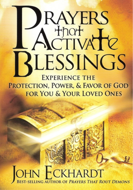## JRAYERS AcTIVATE RESSINGS **EXPERIENCE THE**

PROTECTION, POWER, & FAVOR OF GOD **FOR YOU & YOUR LOVED ONES** 

## OHN ECKHARDT **SELLING AUTHOR OF PRAYERS THAT ROUT DEMONS**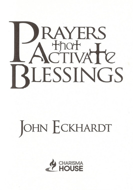

# JOHN ECKHARDT

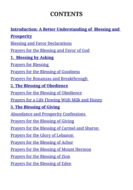## **CONTENTS**

## **[Introduction: A Better Understanding of Blessing and](#page-4-0)**

## **[Prosperity](#page-4-0)**

[Blessing and Favor Declarations](#page-7-0)

[Prayers for the Blessing and Favor of God](#page-9-0)

**[1. Blessing by Asking](#page-11-0)**

[Prayers for Blessing](#page-15-0) 

[Prayers for the Blessing of Goodness](#page-17-0)

[Prayers for Bonanzas and Breakthrough](#page-20-0) 

**[2. The Blessing of Obedience](#page-26-0)**

[Prayers for the Blessing of Obedience](#page-29-0)

[Prayers for a Life Flowing With Milk and Honey](#page-36-0)

#### **[3. The Blessing of Giving](#page-38-0)**

[Abundance and Prosperity Confessions](#page-44-0) 

[Prayers for the Blessing of Giving](#page-47-0)

[Prayers for the Blessing of Carmel and Sharon](#page-49-0) 

[Prayers for the Glory of Lebanon](#page-52-0) 

[Prayers for the Blessing of Achor](#page-53-0)

[Prayers for the Blessing of Mount Hermon](#page-54-0)

[Prayers for the Blessing of Zion](#page-55-0)

[Prayers for the Blessing of Eden](#page-56-0)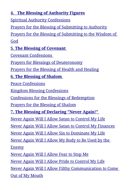### **[4. The Blessing of Authority Figures](#page-57-0)**

[Spiritual Authority Confessions](#page-60-1)

[Prayers for the Blessing of Submitting to Authority](#page-60-0)

[Prayers for the Blessing of Submitting to the Wisdom of](#page-61-0) [God](#page-61-0)

**[5. The Blessing of Covenant](#page-65-0)** 

[Covenant Confessions](#page-69-1) 

[Prayers for Blessings of Deuteronomy](#page-69-0)

[Prayers for the Blessing of Health and Healing](#page-71-0)

## **[6. The Blessing of Shalom](#page-75-0)**

[Peace Confessions](#page-80-1)

[Kingdom Blessing Confessions](#page-80-0)

[Confessions for the Blessings of Redemption](#page-82-0)

[Prayers for the Blessing of Shalom](#page-89-0)

**[7. The Blessing of Declaring "Never Again!"](#page-93-0)** 

[Never Again Will I Allow Satan to Control My Life](#page-94-0)

[Never Again Will I Allow Satan to Control My Finances](#page-100-0)

[Never Again Will I Allow Sin to Dominate My Life](#page-103-0)

[Never Again Will I Allow My Body to Be Used by the](#page-107-0)

[Enemy](#page-107-0)

[Never Again Will I Allow Fear to Stop Me](#page-108-0)

[Never Again Will I Allow Pride to Control My Life](#page-109-0)

[Never Again Will I Allow Filthy Communication to Come](#page-110-0) [Out of My Mouth](#page-110-0)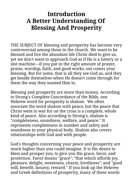## <span id="page-4-0"></span>**Introduction A Better Understanding Of Blessing And Prosperity**

THE SUBJECT OF blessing and prosperity has become very controversial among those in the church. We want to be blessed and live the abundant life Christ died to give us, yet we don't want to approach God as if He is a lottery or a slot machine—if you put in the right amount of prayer, praise, worship, faith, and good works, out comes your blessing. But for some, that is all they see God as, and they get beside themselves when He doesn't come through for them the way they wanted Him to.

Blessing and prosperity are more than money. According to Strong's Complete Concordance of the Bible, one Hebrew word for prosperity is shalom. We often associate the word shalom with peace, but the peace that Christ went to war for on the cross is a complete, whole kind of peace. Also according to Strong's, shalom is "completeness, soundness, welfare, and peace." It represents completeness in number and safety and soundness in your physical body. Shalom also covers relationships with God and with people.

God's thoughts concerning your peace and prosperity are much higher than you could imagine. It is His desire to bless and prosper you, to give you His grace, favor, and protection. Favor means "grace"; "that which affords joy, pleasure, delight, sweetness, charm, loveliness"; and "good will, benefit, bounty, reward." If you look up the Hebrew and Greek definitions of prosperity, many of these words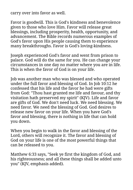carry over into favor as well.

Favor is goodwill. This is God's kindness and benevolence given to those who love Him. Favor will release great blessings, including prosperity, health, opportunity, and advancement. The Bible records numerous examples of God's favor upon His people causing them to experience many breakthroughs. Favor is God's loving-kindness.

Joseph experienced God's favor and went from prison to palace. God will do the same for you. He can change your circumstances in one day no matter where you are in life. This is when the favor of God is on your life.

Job was another man who was blessed and who operated under the full favor and blessing of God. In Job 10:12 he confessed that his life and the favor he had were gifts from God: "Thou hast granted me life and favour, and thy visitation hath preserved my spirit" (KJV). Life and favor are gifts of God. We don't need luck. We need blessing. We need favor. We need the blessing of God. God desires to release new favor on your life. When you have God's favor and blessing, there is nothing in life that can hold you down.

When you begin to walk in the favor and blessing of the Lord, others will recognize it. The favor and blessing of God on your life is one of the most powerful things that can be released to you.

Matthew 6:33 says, "Seek ye first the kingdom of God, and his righteousness; and all these things shall be added unto you" (KJV, emphasis added).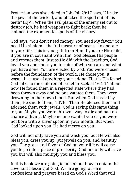Protection was also added to Job. Job 29:17 says, "I brake the jaws of the wicked, and plucked the spoil out of his teeth" (KJV). When the evil plans of the enemy set out to destroy Job, he had weapons to fight back; then he claimed the exponential spoils of the victory.

God says, "You don't need money. You need My favor." You need His shalom—the full measure of peace—to operate in your life. This is your gift from Him if you are His child, if you are in covenant with Him. God blesses His people and rescues them. Just as He did with the Israelites, God loved you and chose you in spite of who you are and what you have done. You are elected by God. You were chosen before the foundation of the world. He chose you. It wasn't because of anything you've done. That is His favor! God talks to the children of Israel in Ezekiel 16:1-14 about how He found them in a rejected state where they had been thrown away and no one wanted them. They were drowning in their own blood. But when God passed by them, He said to them, "LIVE!" Then He blessed them and adorned them with jewels. God is saying this same thing to you. Maybe you were thrown away to die and had no chance at living. Maybe no one wanted you or you were not born with a silver spoon in your mouth. But when God looked upon you, He had mercy on you.

God will not only save you and wash you, but He will also bless you, dress you up, put jewels on you, and beautify you. The grace and favor of God on your life will cause you to go into a place of prosperity. God not only will save you but will also multiply you and bless you.

In this book we are going to talk about how to obtain the covenant blessing of God. We are going to learn confessions and prayers based on God's Word that will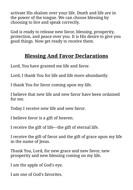activate His shalom over your life. Death and life are in the power of the tongue. We can choose blessing by choosing to live and speak correctly.

God is ready to release new favor, blessing, prosperity, protection, and peace over you. It is His desire to give you good things. Now get ready to receive them.

## <span id="page-7-0"></span>**Blessing And Favor Declarations**

Lord, You have granted me life and favor.

Lord, I thank You for life and life more abundantly.

I thank You for favor coming upon my life.

I believe that new life and new favor have been ordained for me.

Today I receive new life and new favor.

I believe favor is a gift of heaven.

I receive the gift of life—the gift of eternal life.

I receive the gift of favor and the gift of grace upon my life in the name of Jesus.

Thank You, Lord, for new grace and new favor, new prosperity and new blessing coming on my life.

I am the apple of God's eye.

I am one of God's favorites.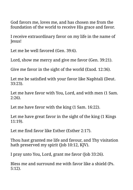God favors me, loves me, and has chosen me from the foundation of the world to receive His grace and favor.

I receive extraordinary favor on my life in the name of Jesus!

Let me be well favored (Gen. 39:6).

Lord, show me mercy and give me favor (Gen. 39:21).

Give me favor in the sight of the world (Exod. 12:36).

Let me be satisfied with your favor like Naphtali (Deut. 33:23).

Let me have favor with You, Lord, and with men (1 Sam. 2:26).

Let me have favor with the king (1 Sam. 16:22).

Let me have great favor in the sight of the king (1 Kings 11:19).

Let me find favor like Esther (Esther 2:17).

Thou hast granted me life and favour, and Thy visitation hath preserved my spirit (Job 10:12, KJV).

I pray unto You, Lord, grant me favor (Job 33:26).

Bless me and surround me with favor like a shield (Ps. 5:12).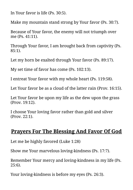In Your favor is life (Ps. 30:5).

Make my mountain stand strong by Your favor (Ps. 30:7).

Because of Your favor, the enemy will not triumph over me (Ps. 41:11).

Through Your favor, I am brought back from captivity (Ps. 85:1).

Let my horn be exalted through Your favor (Ps. 89:17).

My set time of favor has come (Ps. 102:13).

I entreat Your favor with my whole heart (Ps. 119:58).

Let Your favor be as a cloud of the latter rain (Prov. 16:15).

Let Your favor be upon my life as the dew upon the grass (Prov. 19:12).

I choose Your loving favor rather than gold and silver (Prov. 22:1).

## <span id="page-9-0"></span>**Prayers For The Blessing And Favor Of God**

Let me be highly favored (Luke 1:28)

Show me Your marvelous loving-kindness (Ps. 17:7).

Remember Your mercy and loving-kindness in my life (Ps. 25:6).

Your loving-kindness is before my eyes (Ps. 26:3).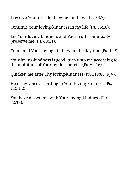I receive Your excellent loving-kindness (Ps. 36:7).

Continue Your loving-kindness in my life (Ps. 36:10).

Let Your loving-kindness and Your truth continually preserve me (Ps. 40:11).

Command Your loving-kindness in the daytime (Ps. 42:8).

Your loving-kindness is good: turn unto me according to the multitude of Your tender mercies (Ps. 69:16).

Quicken me after Thy loving-kindness (Ps. 119:88, KJV).

Hear my voice according to Your loving-kindness (Ps. 119:149).

You have drawn me with Your loving-kindness (Jer. 32:18).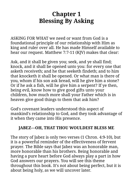## <span id="page-11-0"></span>**Chapter 1 Blessing By Asking**

ASKING FOR WHAT we need or want from God is a foundational principle of our relationship with Him as king and ruler over all. He has made Himself available to hear our request. Matthew 7:7-11 (KJV) makes that clear:

Ask, and it shall be given you; seek, and ye shall find; knock, and it shall be opened unto you: for every one that asketh receiveth; and he that seeketh findeth; and to him that knocketh it shall be opened. Or what man is there of you, whom if his son ask bread, will he give him a stone? Or if he ask a fish, will he give him a serpent? If ye then, being evil, know how to give good gifts unto your children, how much more shall your Father which is in heaven give good things to them that ask him?

God's covenant leaders understood this aspect of mankind's relationship to God, and they took advantage of it when they came into His presence.

#### **JABEZ—OH, THAT THOU WOULDEST BLESS ME**

The story of Jabez is only two verses (1 Chron. 4:9-10), but it is a powerful reminder of the effectiveness of fervent prayer. The Bible says that Jabez was an honorable man, more honorable than his brothers. Being honorable and having a pure heart before God always play a part in how God answers our prayers. You will see this theme throughout this book. It's not about being perfect, but it is about being holy, as we will uncover later.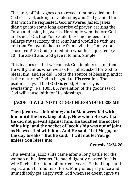The story of Jabez goes on to reveal that he called on the God of Israel, asking for a blessing, and God granted him that which he requested. God answered Jabez. Jabez didn't go into some long exercise of prayer, reciting the Torah and using big words. He simply went before God and said, "'Oh, that You would bless me indeed, and enlarge my territory, that Your hand would be with me, and that You would keep me from evil, that I may not cause pain!' So God granted him what he requested" (v. 10). He asked and God gave it to him. Simple.

This teaches us that we can ask God to bless us and that He will grant us what we ask for. Jabez asked for God to bless Him, and He did. God is the source of blessing, and it is the nature of God to be good to His creation. The psalmist says, "The LORD is good, His mercy is everlasting" (Ps. 100:5). A revelation of the goodness of God will cause faith for His blessings.

#### **JACOB—I WILL NOT LET GO UNLESS YOU BLESS ME**

**Then Jacob was left alone; and a Man wrestled with him until the breaking of day. Now when He saw that He did not prevail against him, He touched the socket of his hip; and the socket of Jacob's hip was out of joint as He wrestled with him. And He said, "Let Me go, for the day breaks." But he said, "I will not let You go unless You bless me!"**

**—Genesis 32:24-26**

This event in Jacob's life came after a long battle for the woman of his dreams. He had diligently worked for his wife Rachel for a total of fourteen years. He had hope and expectation behind his efforts. Many of us pray once and immediately get angry with God when He doesn't give us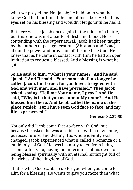what we prayed for. Not Jacob; he held on to what he knew God had for him at the end of his labor. He had his eyes set on his blessing and wouldn't let go until he had it.

But here we see Jacob once again in the midst of a battle, but this one was not a battle of flesh and blood. He is contending with the supernatural. Jacob had been taught by the fathers of past generations (Abraham and Isaac) about the power and provision of the one true God. He knew that as he came in contact with Him he had an open invitation to request a blessed. And a blessing is what he got.

**So He said to him, "What is your name?" And he said, "Jacob." And He said, "Your name shall no longer be called Jacob, but Israel; for you have struggled with God and with men, and have prevailed." Then Jacob asked, saying, "Tell me Your name, I pray." And He said, "Why is it that you ask about My name?" And He blessed him there. And Jacob called the name of the place Peniel: "For I have seen God face to face, and my life is preserved."**

**—Genesis 32:27-30**

Not only did Jacob come face-to-face with God, but because he asked, he was also blessed with a new name, purpose, future, and destiny. His whole identity was changed. Jacob experienced what is called a bonanza or a "suddenly" of God. He was instantly taken from being second after Esau, having no inheritance of his own, to being blessed spiritually with an eternal birthright full of the riches of the kingdom of God.

That is what God wants to do for you when you come to Him for a blessing. He wants to give you more than what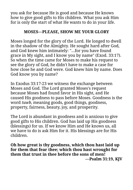you ask for because He is good and because He knows how to give good gifts to His children. What you ask Him for is only the start of what He wants to do in your life.

#### **MOSES—PLEASE, SHOW ME YOUR GLORY**

Moses longed for the glory of the Lord. He longed to dwell in the shadow of the Almighty. He sought hard after God, and God knew him intimately: "...for you have found grace in My sight, and I know you by name" (Exod. 33:17). So when the time came for Moses to make his request to see the glory of God, he didn't have to make a case for how close he and God were. God knew him by name. Does God know you by name?

In Exodus 33:17-23 we witness the exchange between Moses and God. The Lord granted Moses's request because Moses had found favor in His sight, and He caused His goodness to pass before Moses. Goodness is the word *tuwb*, meaning goods, good things, goodness, property, fairness, beauty, joy, and prosperity.

The Lord is abundant in goodness and is anxious to give good gifts to His children. God has laid up His goodness (blessings) for us. If we know Him and He knows us, all we have to do is ask Him for it. His blessings are for His children.

**Oh how great is thy goodness, which thou hast laid up for them that fear thee; which thou hast wrought for them that trust in thee before the sons of men! —Psalm 31:19, KJV**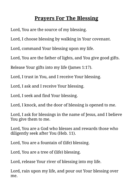## <span id="page-15-0"></span>**Prayers For The Blessing**

- Lord, You are the source of my blessing.
- Lord, I choose blessing by walking in Your covenant.
- Lord, command Your blessing upon my life.
- Lord, You are the father of lights, and You give good gifts.

Release Your gifts into my life (James 1:17).

- Lord, I trust in You, and I receive Your blessing.
- Lord, I ask and I receive Your blessing.
- Lord, I seek and find Your blessing.
- Lord, I knock, and the door of blessing is opened to me.

Lord, I ask for blessings in the name of Jesus, and I believe You give them to me.

Lord, You are a God who blesses and rewards those who diligently seek after You (Heb. 11).

Lord, You are a fountain of (life) blessing.

Lord, You are a tree of (life) blessing.

Lord, release Your river of blessing into my life.

Lord, rain upon my life, and pour out Your blessing over me.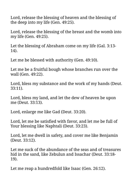Lord, release the blessing of heaven and the blessing of the deep into my life (Gen. 49:25).

Lord, release the blessing of the breast and the womb into my life (Gen. 49:25).

Let the blessing of Abraham come on my life (Gal. 3:13- 14).

Let me be blessed with authority (Gen. 49:10).

Let me be a fruitful bough whose branches run over the wall (Gen. 49:22).

Lord, bless my substance and the work of my hands (Deut. 33:11).

Lord, bless my land, and let the dew of heaven be upon me (Deut. 33:13).

Lord, enlarge me like Gad (Deut. 33:20).

Lord, let me be satisfied with favor, and let me be full of Your blessing like Naphtali (Deut. 33:23).

Lord, let me dwell in safety, and cover me like Benjamin (Deut. 33:12).

Let me suck of the abundance of the seas and of treasures hid in the sand, like Zebulun and Issachar (Deut. 33:18- 19).

Let me reap a hundredfold like Isaac (Gen. 26:12).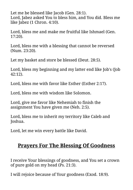Let me be blessed like Jacob (Gen. 28:1). Lord, Jabez asked You to bless him, and You did. Bless me like Jabez (1 Chron. 4:10).

Lord, bless me and make me fruitful like Ishmael (Gen. 17:20).

Lord, bless me with a blessing that cannot be reversed (Num. 23:20).

Let my basket and store be blessed (Deut. 28:5).

Lord, bless my beginning and my latter end like Job's (Job 42:12).

Lord, bless me with favor like Esther (Esther 2:17).

Lord, bless me with wisdom like Solomon.

Lord, give me favor like Nehemiah to finish the assignment You have given me (Neh. 2:5).

Lord, bless me to inherit my territory like Caleb and Joshua.

Lord, let me win every battle like David.

## <span id="page-17-0"></span>**Prayers For The Blessing Of Goodness**

I receive Your blessings of goodness, and You set a crown of pure gold on my head (Ps. 21:3).

I will rejoice because of Your goodness (Exod. 18:9).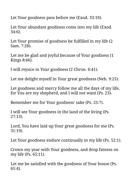Let Your goodness pass before me (Exod. 33:19).

Let Your abundant goodness come into my life (Exod. 34:6).

Let Your promise of goodness be fulfilled in my life (2 Sam. 7:28).

Let me be glad and joyful because of Your goodness (1 Kings 8:66).

I will rejoice in Your goodness (2 Chron. 6:41).

Let me delight myself in Your great goodness (Neh. 9:25).

Let goodness and mercy follow me all the days of my life, for You are my shepherd, and I will not want (Ps. 23).

Remember me for Your goodness' sake (Ps. 25:7).

I will see Your goodness in the land of the living (Ps. 27:13).

Lord, You have laid up Your great goodness for me (Ps. 31:19).

Let Your goodness endure continually in my life (Ps. 52:1).

Crown my year with Your goodness, and drop fatness on my life (Ps. 65:11).

Let me be satisfied with the goodness of Your house (Ps. 65:4).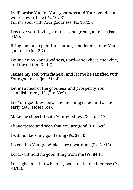I will praise You for Your goodness and Your wonderful works toward me (Ps. 107:8). Fill my soul with Your goodness (Ps. 107:9).

I receive your loving-kindness and great goodness (Isa. 63:7).

Bring me into a plentiful country, and let me enjoy Your goodness (Jer. 2:7).

Let me enjoy Your goodness, Lord—the wheat, the wine, and the oil (Jer. 31:12).

Satiate my soul with fatness, and let me be satisfied with Your goodness (Jer. 31:14).

Let men hear of the goodness and prosperity You establish in my life (Jer. 33:9).

Let Your goodness be as the morning cloud and as the early dew (Hosea 6:4).

Make me cheerful with Your goodness (Zech. 9:17).

I have tasted and seen that You are good (Ps. 34:8).

I will not lack any good thing (Ps. 34:10).

Do good in Your good pleasure toward me (Ps. 51:18).

Lord, withhold no good thing from me (Ps. 84:11).

Lord, give me that which is good, and let me increase (Ps. 85:12).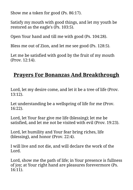Show me a token for good (Ps. 86:17).

Satisfy my mouth with good things, and let my youth be restored as the eagle's (Ps. 103:5).

Open Your hand and till me with good (Ps. 104:28).

Bless me out of Zion, and let me see good (Ps. 128:5).

Let me be satisfied with good by the fruit of my mouth (Prov. 12:14).

## <span id="page-20-0"></span>**Prayers For Bonanzas And Breakthrough**

Lord, let my desire come, and let it be a tree of life (Prov. 13:12).

Let understanding be a wellspring of life for me (Prov. 16:22).

Lord, let Your fear give me life (blessing); let me be satisfied, and let me not be visited with evil (Prov. 19:23).

Lord, let humility and Your fear bring riches, life (blessing), and honor (Prov. 22:4).

I will live and not die, and will declare the work of the Lord.

Lord, show me the path of life; in Your presence is fullness of joy; at Your right hand are pleasures forevermore (Ps. 16:11).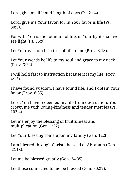Lord, give me life and length of days (Ps. 21:4).

Lord, give me Your favor, for in Your favor is life (Ps. 30:5).

For with You is the fountain of life; in Your light shall we see light (Ps. 36:9).

Let Your wisdom be a tree of life to me (Prov. 3:18).

Let Your words be life to my soul and grace to my neck (Prov. 3:22).

I will hold fast to instruction because it is my life (Prov. 4:13).

I have found wisdom, I have found life, and I obtain Your favor (Prov. 8:35).

Lord, You have redeemed my life from destruction. You crown me with loving-kindness and tender mercies (Ps. 103:4).

Let me enjoy the blessing of fruitfulness and multiplication (Gen. 1:22).

Let Your blessing come upon my family (Gen. 12:3).

I am blessed through Christ, the seed of Abraham (Gen. 22:18).

Let me be blessed greatly (Gen. 24:35).

Let those connected to me be blessed (Gen. 30:27).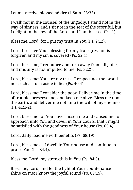Let me receive blessed advice (1 Sam. 25:33).

I walk not in the counsel of the ungodly, I stand not in the way of sinners, and I sit not in the seat of the scornful, but I delight in the law of the Lord, and I am blessed (Ps. 1).

Bless me, Lord, for I put my trust in You (Ps. 2:12).

Lord, I receive Your blessing for my transgression is forgiven and my sin is covered (Ps. 32:1).

Lord, bless me; I renounce and turn away from all guile, and iniquity is not imputed to me (Ps. 32:2).

Lord, bless me; You are my trust. I respect not the proud nor such as turn aside to lies (Ps. 40:4).

Lord, bless me; I consider the poor. Deliver me in the time of trouble, preserve me, and keep me alive. Bless me upon the earth, and deliver me not unto the will of my enemies (Ps. 41:1-2).

Lord, bless me for You have chosen me and caused me to approach unto You and dwell in Your courts, that I might be satisfied with the goodness of Your house (Ps. 65:4).

Lord, daily load me with benefits (Ps. 68:19).

Lord, bless me as I dwell in Your house and continue to praise You (Ps. 84:4).

Bless me, Lord; my strength is in You (Ps. 84:5).

Bless me, Lord, and let the light of Your countenance shine on me; I know the joyful sound (Ps. 89:15).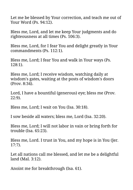Let me be blessed by Your correction, and teach me out of Your Word (Ps. 94:12).

Bless me, Lord, and let me keep Your judgments and do righteousness at all times (Ps. 106:3).

Bless me, Lord, for I fear You and delight greatly in Your commandments (Ps. 112:1).

Bless me, Lord; I fear You and walk in Your ways (Ps. 128:1).

Bless me, Lord; I receive wisdom, watching daily at wisdom's gates, waiting at the posts of wisdom's doors (Prov. 8:34).

Lord, I have a bountiful (generous) eye; bless me (Prov. 22:9).

Bless me, Lord; I wait on You (Isa. 30:18).

I sow beside all waters; bless me, Lord (Isa. 32:20).

Bless me, Lord; I will not labor in vain or bring forth for trouble (Isa. 65:23).

Bless me, Lord. I trust in You, and my hope is in You (Jer. 17:7).

Let all nations call me blessed, and let me be a delightful land (Mal. 3:12).

Anoint me for breakthrough (Isa. 61).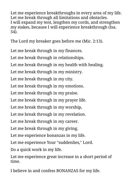Let me experience breakthroughs in every area of my life. Let me break through all limitations and obstacles. I will expand my tent, lengthen my cords, and strengthen my stakes, because I will experience breakthrough (Isa. 54).

The Lord my breaker goes before me (Mic. 2:13).

Let me break through in my finances. Let me break through in relationships. Let me break through in my health with healing. Let me break through in my ministry. Let me break through in my city. Let me break through in my emotions. Let me break through in my praise. Let me break through in my prayer life. Let me break through in my worship, Let me break through in my revelation. Let me break through in my career. Let me break through in my giving. Let me experience bonanzas in my life. Let me experience Your "suddenlies," Lord. Do a quick work in my life.

Let me experience great increase in a short period of time.

I believe in and confess BONANZAS for my life.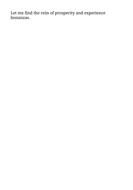Let me find the vein of prosperity and experience bonanzas.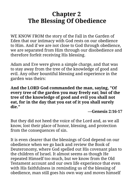## <span id="page-26-0"></span>**Chapter 2 The Blessing Of Obedience**

WE KNOW FROM the story of the Fall in the Garden of Eden that our intimacy with God rests on our obedience to Him. And if we are not close to God through obedience, we are separated from Him through our disobedience and therefore forfeit receiving His blessing.

Adam and Eve were given a simple charge, and that was to stay away from the tree of the knowledge of good and evil. Any other bountiful blessing and experience in the garden was theirs:

**And the LORD God commanded the man, saying, "Of every tree of the garden you may freely eat; but of the tree of the knowledge of good and evil you shall not eat, for in the day that you eat of it you shall surely die."**

**—Genesis 2:16-17**

But they did not heed the voice of the Lord and, as we all know, lost their place of honor, blessing, and protection from the consequences of sin.

It is even clearer that the blessings of God depend on our obedience when we go back and review the Book of Deuteronomy, where God spelled out His covenant plan to the children of Israel. It almost seems as though He repeated Himself too much, but we know from the Old Testament account and our own life experience that even with His faithfulness in reminding us of the blessing of obedience, man still goes his own way and moves himself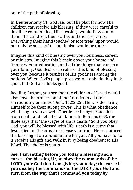out of the path of blessing.

In Deuteronomy 11, God laid out His plan for how His children can receive His blessing. If they were careful to do all he commanded, His blessings would flow out to them, the children, their cattle, and their servants. Everything their hand touched or foot tread upon would not only be successful—but it also would be theirs.

Imagine this kind of blessing over your business, career, or ministry. Imagine this blessing over your home and finances, your education, and all the things that concern your family. God desires to release this kind of blessing over you, because it testifies of His goodness among the nations. When God's people prosper, not only do they look good, but God also looks good.

Reading further, you see that the children of Israel would also have the protection of the Lord from all their surrounding enemies (Deut. 11:22-25). He was declaring Himself to be their strong tower. This is what obedience will bring to you as well. Obedience brings protection from death and defeat of all kinds. In Romans 6:23, the Bible says that "the wages of sin is death." So if you obey God, you will be blessed with life. Death is a curse that Jesus died on the cross to release you from. He recaptured the blessing of an abundant life for you. All you have to do is receive His gift and walk in it by being obedient to His Word. The choice is yours.

**See, I am setting before you today a blessing and a curse—the blessing if you obey the commands of the LORD your God that I am giving you today; the curse if you disobey the commands of the LORD your God and turn from the way that I command you today by**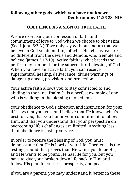#### **following other gods, which you have not known. —Deuteronomy 11:26-28, NIV**

#### **OBEDIENCE AS A SIGN OF TRUE FAITH**

We are exercising our confession of faith and commitment of love to God when we choose to obey Him. (See 1 John 5:2-3.) If we only say with our mouth that we believe in God yet do nothing of what He tells us, we are no different from the devils and demons who tremble and believe (James 2:17-19). Active faith is what breeds the perfect environment for the supernatural blessing of God. When you have an active faith, you can receive supernatural healing, deliverance, divine warnings of danger up ahead, provision, and protection.

Your active faith allows you to stay connected to and abiding in the vine. Psalm 91 is a perfect example of one who is walking in the blessing of obedience.

Your obedience to God's direction and instruction for your life says that you trust and believe that He knows what's best for you, that you honor your commitment to follow Him, and that you understand that your perspective on overcoming life's challenges are limited. Anything less than obedience is just lip service.

In order to receive the blessing of God, you must demonstrate that He is Lord of your life. Obedience is the testing ground that proves that. He wants you to be His, and He wants to be yours. He has life for you, but you have to give your broken-down life back to Him and follow His plan for success, prosperity, and peace.

If you are a parent, you may understand it better in these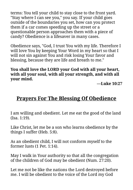terms: You tell your child to stay close to the front yard. "Stay where I can see you," you say. If your child goes outside of the boundaries you set, how can you protect them if a car comes speeding up the street or a questionable person approaches them with a piece of candy? Obedience is a lifesaver in many cases.

Obedience says, "God, I trust You with my life. Therefore I will love You by keeping Your Word in my heart so that I will not sin against You and risk losing Your favor and blessing, because they are life and breath to me."

**You shall love the LORD your God with all your heart, with all your soul, with all your strength, and with all your mind.**

**—Luke 10:27**

## <span id="page-29-0"></span>**Prayers For The Blessing Of Obedience**

I am willing and obedient. Let me eat the good of the land (Isa. 1:19).

Like Christ, let me be a son who learns obedience by the things I suffer (Heb. 5:8).

As an obedient child, I will not conform myself to the former lusts (1 Pet. 1:14).

May I walk in Your authority so that all the congregation of the children of God may be obedient (Num. 27:20).

Let me not be like the nations the Lord destroyed before me. I will be obedient to the voice of the Lord my God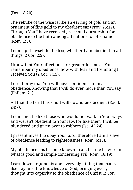(Deut. 8:20).

The rebuke of the wise is like an earring of gold and an ornament of fine gold to my obedient ear (Prov. 25:12). Through You I have received grace and apostleship for obedience to the faith among all nations for His name (Rom. 1:5).

Let me put myself to the test, whether I am obedient in all things (2 Cor. 2:9).

I know that Your affections are greater for me as You remember my obedience, how with fear and trembling I received You (2 Cor. 7:15).

Lord, I pray that You will have confidence in my obedience, knowing that I will do even more than You say (Philem. 21).

All that the Lord has said I will do and be obedient (Exod. 24:7).

Let me not be like those who would not walk in Your ways and weren't obedient to Your law, for like them, I will be plundered and given over to robbers (Isa. 42:24).

I present myself to obey You, Lord; therefore I am a slave of obedience leading to righteousness (Rom. 6:16).

My obedience has become known to all. Let me be wise in what is good and simple concerning evil (Rom. 16:19).

I cast down arguments and every high thing that exalts itself against the knowledge of God, bringing every thought into captivity to the obedience of Christ (2 Cor.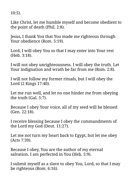10:5).

Like Christ, let me humble myself and become obedient to the point of death (Phil. 2:8).

Jesus, I thank You that You made me righteous through Your obedience (Rom. 5:19).

Lord, I will obey You so that I may enter into Your rest (Heb. 3:18).

I will not obey unrighteousness. I will obey the truth. Let Your indignation and wrath be far from me (Rom. 2:8).

I will not follow my former rituals, but I will obey the Lord (2 Kings 17:40).

Let me run well, and let no one hinder me from obeying the truth (Gal. 5:7).

Because I obey Your voice, all of my seed will be blessed (Gen. 22:18).

I receive blessing because I obey the commandments of the Lord my God (Deut. 11:27).

Let me not turn my heart back to Egypt, but let me obey (Acts 7:39).

Because I obey, You are the author of my eternal salvation. I am perfected in You (Heb. 5:9).

I submit myself as a slave to obey You, Lord, so that I may be righteous (Rom. 6:16).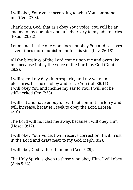I will obey Your voice according to what You command me (Gen. 27:8).

Thank You, God, that as I obey Your voice, You will be an enemy to my enemies and an adversary to my adversaries (Exod. 23:22).

Let me not be the one who does not obey You and receives seven times more punishment for his sins (Lev. 26:18).

All the blessings of the Lord come upon me and overtake me, because I obey the voice of the Lord my God (Deut. 28:2).

I will spend my days in prosperity and my years in pleasures, because I obey and serve You (Job 36:11). I will obey You and incline my ear to You. I will not be stiff-necked (Jer. 7:26).

I will eat and have enough. I will not commit harlotry and will increase, because I seek to obey the Lord (Hosea 4:10).

The Lord will not cast me away, because I will obey Him (Hosea 9:17).

I will obey Your voice. I will receive correction. I will trust in the Lord and draw near to my God (Zeph. 3:2).

I will obey God rather than men (Acts 5:29).

The Holy Spirit is given to those who obey Him. I will obey (Acts 5:32).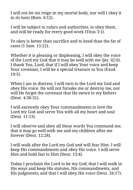I will not let sin reign in my mortal body, nor will I obey it in its lusts (Rom. 6:12).

I will be subject to rulers and authorities, to obey them, and will be ready for every good work (Titus 3:1).

To obey is better than sacrifice and to heed than the fat of rams (1 Sam. 15:22).

Whether it is pleasing or displeasing, I will obey the voice of the Lord my God that it may be well with me (Jer. 42:6). I thank You, Lord, that if I will obey Your voice and keep Your covenant, I will be a special treasure to You (Exod. 19:5).

When I am in distress, I will turn to the Lord my God and obey His voice. He will not forsake me or destroy me, nor will He forget the covenant that He swore to my fathers (Deut. 4:30-31).

I will earnestly obey Your commandments to love the Lord my God and serve You with all my heart and soul (Deut. 11:13).

I will observe and obey all these words You command me, that it may go well with me and my children after me forever (Deut. 12:28).

I will walk after the Lord my God and will fear Him. I will keep His commandments and obey His voice. I will serve Him and hold fast to Him (Deut. 13:4).

Today I proclaim the Lord to be my God; that I will walk in His ways and keep His statutes, His commandments, and His judgments; and that I will obey His voice (Deut. 26:17).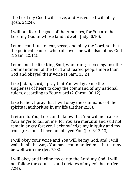The Lord my God I will serve, and His voice I will obey (Josh. 24:24).

I will not fear the gods of the Amorites, for You are the Lord my God in whose land I dwell (Judg. 6:10).

Let me continue to fear, serve, and obey the Lord, so that the political leaders who rule over me will also follow God (1 Sam. 12:14).

Let me not be like King Saul, who transgressed against the commandment of the Lord and feared people more than God and obeyed their voice (1 Sam. 15:24).

Like Judah, Lord, I pray that You will give me the singleness of heart to obey the command of my national rulers, according to Your word (2 Chron. 30:12).

Like Esther, I pray that I will obey the commands of the spiritual authorities in my life (Esther 2:20).

I return to You, Lord, and I know that You will not cause Your anger to fall on me, for You are merciful and will not remain angry forever. I acknowledge my iniquity and my transgressions. I have not obeyed You (Jer. 3:12-13).

I will obey Your voice and You will be my God, and I will walk in all the ways You have commanded me, that it may be well with me (Jer. 7:23).

I will obey and incline my ear to the Lord my God. I will not follow the counsels and dictates of my evil heart (Jer. 7:24).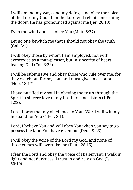I will amend my ways and my doings and obey the voice of the Lord my God; then the Lord will relent concerning the doom He has pronounced against me (Jer. 26:13).

Even the wind and sea obey You (Matt. 8:27).

Let no one bewitch me that I should not obey the truth (Gal. 3:1).

I will obey those by whom I am employed, not with eyeservice as a man-pleaser, but in sincerity of heart, fearing God (Col. 3:22).

I will be submissive and obey those who rule over me, for they watch out for my soul and must give an account (Heb. 13:17).

I have purified my soul in obeying the truth through the Spirit in sincere love of my brothers and sisters (1 Pet. 1:22).

Lord, I pray that my obedience to Your Word will win my husband for You (1 Pet. 3:1).

Lord, I believe You and will obey You when you say to go possess the land You have given me (Deut. 9:23).

I will obey the voice of the Lord my God, and none of those curses will overtake me (Deut. 28:15).

I fear the Lord and obey the voice of His servant. I walk in light and not darkness. I trust in and rely on God (Isa.  $50:10$ ).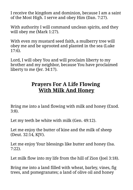I receive the kingdom and dominion, because I am a saint of the Most High. I serve and obey Him (Dan. 7:27).

With authority I will command unclean spirits, and they will obey me (Mark 1:27).

With even my mustard seed faith, a mulberry tree will obey me and be uprooted and planted in the sea (Luke 17:6).

Lord, I will obey You and will proclaim liberty to my brother and my neighbor, because You have proclaimed liberty to me (Jer. 34:17).

## **Prayers For A Life Flowing With Milk And Honey**

Bring me into a land flowing with milk and honey (Exod. 3:8).

Let my teeth be white with milk (Gen. 49:12).

Let me enjoy the butter of kine and the milk of sheep (Deut. 32:14, KJV).

Let me enjoy Your blessings like butter and honey (Isa. 7:22).

Let milk flow into my life from the hill of Zion (Joel 3:18).

Bring me into a land filled with wheat, barley, vines, fig trees, and pomegranates; a land of olive oil and honey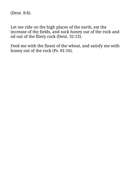(Deut. 8:8).

Let me ride on the high places of the earth, eat the increase of the fields, and suck honey out of the rock and oil out of the flinty rock (Deut. 32:13).

Feed me with the finest of the wheat, and satisfy me with honey out of the rock (Ps. 81:16).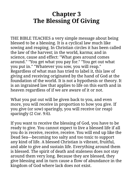# **Chapter 3 The Blessing Of Giving**

THE BIBLE TEACHES a very simple message about being blessed to be a blessing. It is a cyclical law much like sowing and reaping. In Christian circles it has been called the law of the harvest; in the world, karma; and in science, cause and effect: "What goes around comes around." "You get what you pay for." "You get out what you put in." "Whatever you sow, you will reap." Regardless of what man has tried to label it, this law of giving and receiving originated by the hand of God at the foundation of the world. It is not a hypothesis or theory. It is an ingrained law that applies to life on this earth and in heaven regardless of if we are aware of it or not.

What you put out will be given back to you, and even more, you will receive in proportion to how you give. If you give (or sow) sparingly, you will receive (or reap) sparingly (2 Cor. 9:6).

If you want to receive the blessing of God, you have to be ready to give. You cannot expect to live a blessed life if all you do is receive, receive, receive. You will end up like the Dead Sea—becoming too salty and too toxic to support any kind of life. A blessed Christian is vibrant, fruitful, and able to give and sustain life. Everything around them is blessed. The spirit of death and staleness does not stay around them very long. Because they are blessed, they give blessing and in turn cause a flow of abundance in the kingdom of God where lack does not exist.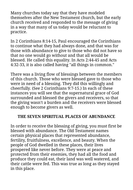Many churches today say that they have modeled themselves after the New Testament church, but the early church received and responded to the message of giving in a way that many of us today would be reluctant to practice.

In 2 Corinthians 8:14-15, Paul encouraged the Corinthians to continue what they had always done, and that was for those with abundance to give to those who did not have so that no one would go without and that all would be blessed. He called this equality. In Acts 2:44-45 and Acts 4:32-33, it is also called having "all things in common."

There was a living flow of blessings between the members of this church. Those who were blessed gave to those who were in need of a blessing. They did this willingly and cheerfully. (See 2 Corinthians 9:7-15.) In each of these instances you will see that the supernatural grace of God surrounded and blessed the givers and receivers, so that the giving wasn't a burden and the receivers were blessed enough to become givers as well.

#### **THE SEVEN SPIRITUAL PLACES OF ABUNDANCE**

In order to receive the blessing of giving, you must first be blessed with abundance. The Old Testament names certain physical places that represented abundance, fertility, fruitfulness, excellence, and beauty. When the people of God dwelled in these places, their lives prospered like never before. They were at peace and protected from their enemies, they had all the food and produce they could eat, their land was well watered, and their cattle were fed. This was true as long as they stayed in this place.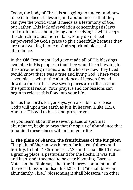Today, the body of Christ is struggling to understand how to be in a place of blessing and abundance so that they can give the world what it needs as a testimony of God our Father. This lack of revelation concerning His laws and ordinances about giving and receiving is what keeps the church in a position of lack. Many do not feel empowered by God's grace to give cheerfully because they are not dwelling in one of God's spiritual places of abundance.

In the Old Testament God gave made all of His blessings available to His people so that they would be a blessing to the surrounding nations and all who saw how they lived would know there was a true and living God. There were seven places where the abundance of heaven flowed down to the earth. These seven places are still active in the spiritual realm. Your prayers and confessions can begin to release this flow into your life.

Just as the Lord's Prayer says, you are able to release God's will upon the earth as it is in heaven (Luke 11:2). And it is His will to bless and prosper you.

As you learn about these seven places of spiritual abundance, begin to pray that the spirit of abundance that inhabited these places will fall on your life.

**1. The plain of Sharon, the fruitfulness of the kingdom** The plain of Sharon was known for its fruitfulness and fertility. In both 1 Chronicles 27:29 and Isaiah 65:10 it was a grazing place, a pastureland for the flocks. It was full and lush, and it seemed to be ever blooming. Barnes' Notes on the Bible says that the Hebrew connotation of the word blossom in Isaiah 35:2 is that "it shall blossom abundantly... [i.e.,] blossoming it shall blossom." In other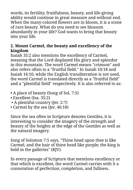words, its fertility, fruitfulness, beauty, and life-giving ability would continue in great measure and without end. When the many-colored flowers are in bloom, it is a scene of rare beauty. What do you need to see blossom abundantly in your life? God wants to bring that beauty into your life.

### **2. Mount Carmel, the beauty and excellency of the kingdom**

Isaiah 35:2 also mentions the excellency of Carmel, meaning that the Lord displayed His glory and splendor in this mountain. The word Carmel means "crimson" and also refers often to a "fruitful field." In Isaiah 10:18 and Isaiah 16:10, while the English transliteration is not used, the word Carmel is translated directly as a "fruitful field" and a "plentiful field" respectively. It is also referred to as:

- A place of beauty (Song of Sol. 7:5)
- Excellent (Isa. 35:2)
- A plentiful country (Jer. 2:7)
- Carmel by the sea (Jer. 46:18)

Since the sea often in Scripture denotes Gentiles, it is interesting to consider the imagery of the strength and beauty of the heights at the edge of the Gentiles as well as the natural imagery.

Song of Solomon 7:5 says, "Thine head upon thee is like Carmel, and the hair of thine head like purple; the king is held in the galleries" (KJV).

In every passage of Scripture that mentions excellency or that which is excellent, the word Carmel carries with it a connotation of perfection, completion, and fullness.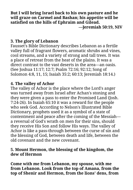### **But I will bring Israel back to his own pasture and he will graze on Carmel and Bashan; his appetite will be satisfied on the hills of Ephraim and Gilead. —Jeremiah 50:19, NIV**

### **3. The glory of Lebanon**

Fausset's Bible Dictionary describes Lebanon as a fertile valley full of fragrant flowers, aromatic shrubs and vines, cool streams, and a variety of strong and tall trees. It was a place of retreat from the heat of the plains. It was a direct contrast to the vast deserts in the area—an oasis. (See Joshua 11:17; 12:7; Psalm 72:16; 92:12; Song of Solomon 4:8, 11, 15; Isaiah 35:2; 60:13; Jeremiah 18:14.)

### **4. The valley of Achor**

The valley of Achor is the place where the Lord's anger was turned away from Israel after Achan's stoning and they were given a pass to enter the Promised Land (Josh. 7:24-26). In Isaiah 65:10 it was a reward for the people who seek God. According to Nelson's Illustrated Bible Dictionary, prophets used it as a symbol of a state of contentment and peace after the coming of the Messiah a reversal of God's wrath on men for their sins, should they receive His Son and follow His ways. The valley of Achor is like a pass-through between the curse of sin and the blessing of God, between death and life, between the old covenant and the new covenant.

### **5. Mount Hermon, the blessing of the kingdom, the dew of Hermon**

**Come with me from Lebanon, my spouse, with me from Lebanon. Look from the top of Amana, from the top of Shenir and Hermon, from the lions' dens, from**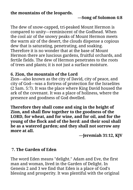### **the mountains of the leopards.**

### **—Song of Solomon 4:8**

The dew of snow-capped, tri-peaked Mount Hermon is compared to unity—reminiscent of the Godhead. When the cool air of the snowy peaks of Mount Hermon meets the warm air of the desert, the clouds dispense a copious dew that is saturating, penetrating, and soaking. Therefore it is no wonder that at the base of Mount Hermon there are luscious gardens, fruitful orchards, and fertile fields. The dew of Hermon penetrates to the roots of trees and plants; it is not just a surface moisture.

### **6. Zion, the mountain of the Lord**

Zion—also known as the city of David, city of peace, and city of God—was a fortress of protection for the Israelites (2 Sam. 5:7). It was the place where King David housed the ark of the covenant. It was a place of holiness, where the presence and goodness of God dwelled.

**Therefore they shall come and sing in the height of Zion, and shall flow together to the goodness of the LORD, for wheat, and for wine, and for oil, and for the young of the flock and of the herd: and their soul shall be as a watered garden; and they shall not sorrow any more at all.**

**—Jeremiah 31:12, KJV**

### **7. The Garden of Eden**

The word Eden means "delight." Adam and Eve, the first man and woman, lived in the Garden of Delight. In Genesis 2 and 3 we find that Eden is a place of God's blessing and prosperity. It was plentiful with the original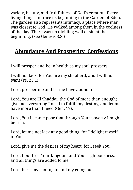variety, beauty, and fruitfulness of God's creation. Every living thing can trace its beginning in the Garden of Eden. The garden also represents intimacy, a place where man was closest to God. He walked among them in the coolness of the day. There was no dividing wall of sin at the beginning. (See Genesis 3:8.)

# **Abundance And Prosperity Confessions**

I will prosper and be in health as my soul prospers.

I will not lack, for You are my shepherd, and I will not want (Ps. 23:1).

Lord, prosper me and let me have abundance.

Lord, You are El Shaddai, the God of more than enough; give me everything I need to fulfill my destiny, and let me have more than I need (Gen. 17).

Lord, You became poor that through Your poverty I might be rich.

Lord, let me not lack any good thing, for I delight myself in You.

Lord, give me the desires of my heart, for I seek You.

Lord, I put first Your kingdom and Your righteousness, and all things are added to me.

Lord, bless my coming in and my going out.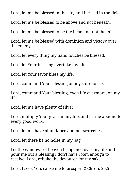Lord, let me be blessed in the city and blessed in the field.

Lord, let me be blessed to be above and not beneath.

Lord, let me be blessed to be the head and not the tail.

Lord, let me be blessed with dominion and victory over the enemy.

Lord, let every thing my hand touches be blessed.

Lord, let Your blessing overtake my life.

Lord, let Your favor bless my life.

Lord, command Your blessing on my storehouse.

Lord, command Your blessing, even life evermore, on my life.

Lord, let me have plenty of silver.

Lord, multiply Your grace in my life, and let me abound to every good work.

Lord, let me have abundance and not scarceness.

Lord, let there be no holes in my bag.

Let the windows of heaven be opened over my life and pour me out a blessing I don't have room enough to receive. Lord, rebuke the devourer for my sake.

Lord, I seek You; cause me to prosper (2 Chron. 26:5).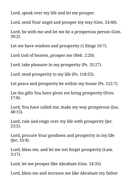Lord, speak over my life and let me prosper.

Lord, send Your angel and prosper my way (Gen. 24:40).

Lord, be with me and let me be a prosperous person (Gen. 39:2).

Let me have wisdom and prosperity (1 Kings 10:7).

Lord God of heaven, prosper me (Neh. 2:20).

Lord, take pleasure in my prosperity (Ps. 35:27).

Lord, send prosperity to my life (Ps. 118:25).

Let peace and prosperity be within my house (Ps. 122:7).

Let the gifts You have given me bring prosperity (Prov. 17:8).

Lord, You have called me; make my way prosperous (Isa. 48:15).

Lord, rule and reign over my life with prosperity (Jer. 23:5).

Lord, procure Your goodness and prosperity in my life (Jer. 33:9).

Lord, bless me, and let me not forget prosperity (Lam. 3:17).

Lord, let me prosper like Abraham (Gen. 24:35).

Lord, bless me and increase me like Abraham my father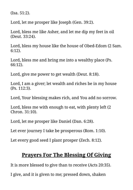(Isa. 51:2).

Lord, let me prosper like Joseph (Gen. 39:2).

Lord, bless me like Asher, and let me dip my feet in oil (Deut. 33:24).

Lord, bless my house like the house of Obed-Edom (2 Sam. 6:12).

Lord, bless me and bring me into a wealthy place (Ps. 66:12).

Lord, give me power to get wealth (Deut. 8:18).

Lord, I am a giver; let wealth and riches be in my house (Ps. 112:3).

Lord, Your blessing makes rich, and You add no sorrow.

Lord, bless me with enough to eat, with plenty left (2 Chron. 31:10).

Lord, let me prosper like Daniel (Dan. 6:28).

Let ever journey I take be prosperous (Rom. 1:10).

Let every good seed I plant prosper (Zech. 8:12).

### **Prayers For The Blessing Of Giving**

It is more blessed to give than to receive (Acts 20:35).

I give, and it is given to me; pressed down, shaken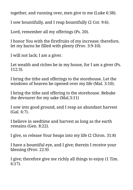together, and running over, men give to me (Luke 6:38).

I sow bountifully, and I reap bountifully (2 Cor. 9:6).

Lord, remember all my offerings (Ps. 20).

I honor You with the firstfruits of my increase; therefore, let my barns be filled with plenty (Prov. 3:9-10).

I will not lack; I am a giver.

Let wealth and riches be in my house, for I am a giver (Ps. 112:3).

I bring the tithe and offerings to the storehouse. Let the windows of heaven be opened over my life (Mal. 3:10).

I bring the tithe and offering to the storehouse. Rebuke the devourer for my sake (Mal.3:11)

I sow into good ground, and I reap an abundant harvest (Gal. 6:7).

I believe in seedtime and harvest as long as the earth remains (Gen. 8:22).

I give, so release Your heaps into my life (2 Chron. 31:8)

I have a bountiful eye, and I give; therein I receive your blessing (Prov. 22:9)

I give; therefore give me richly all things to enjoy (1 Tim. 6:17).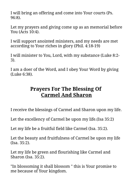I will bring an offering and come into Your courts (Ps. 96:8).

Let my prayers and giving come up as an memorial before You (Acts 10:4).

I will support anointed ministers, and my needs are met according to Your riches in glory (Phil. 4:18-19)

I will minister to You, Lord, with my substance (Luke 8:2- 3).

I am a doer of the Word, and I obey Your Word by giving (Luke 6:38).

# **Prayers For The Blessing Of Carmel And Sharon**

I receive the blessings of Carmel and Sharon upon my life.

Let the excellency of Carmel be upon my life.(Isa 35:2)

Let my life be a fruitful field like Carmel (Isa. 35:2).

Let the beauty and fruitfulness of Carmel be upon my life (Isa. 35:2).

Let my life be green and flourishing like Carmel and Sharon (Isa. 35:2).

"In blossoming it shall blossom " this is Your promise to me because of Your kingdom.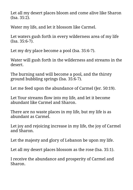Let all my desert places bloom and come alive like Sharon (Isa. 35:2).

Water my life, and let it blossom like Carmel.

Let waters gush forth in every wilderness area of my life (Isa. 35:6-7).

Let my dry place become a pool (Isa. 35:6-7).

Water will gush forth in the wilderness and streams in the desert.

The burning sand will become a pool, and the thirsty ground bubbling springs (Isa. 35:6-7).

Let me feed upon the abundance of Carmel (Jer. 50:19).

Let Your streams flow into my life, and let it become abundant like Carmel and Sharon.

There are no waste places in my life, but my life is as abundant as Carmel.

Let joy and rejoicing increase in my life, the joy of Carmel and Sharon.

Let the majesty and glory of Lebanon be upon my life.

Let all my desert places blossom as the rose (Isa. 35:1).

I receive the abundance and prosperity of Carmel and Sharon.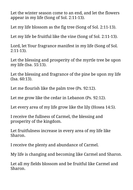Let the winter season come to an end, and let the flowers appear in my life (Song of Sol. 2:11-13).

Let my life blossom as the fig tree (Song of Sol. 2:11-13).

Let my life be fruitful like the vine (Song of Sol. 2:11-13).

Lord, let Your fragrance manifest in my life (Song of Sol. 2:11-13).

Let the blessing and prosperity of the myrtle tree be upon my life (Isa. 55:13).

Let the blessing and fragrance of the pine be upon my life (Isa. 60:13).

Let me flourish like the palm tree (Ps. 92:12).

Let me grow like the cedar in Lebanon (Ps. 92:12).

Let every area of my life grow like the lily (Hosea 14:5).

I receive the fullness of Carmel, the blessing and prosperity of the kingdom.

Let fruitfulness increase in every area of my life like Sharon.

I receive the plenty and abundance of Carmel.

My life is changing and becoming like Carmel and Sharon.

Let all my fields blossom and be fruitful like Carmel and Sharon.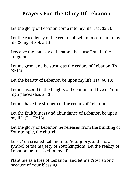# **Prayers For The Glory Of Lebanon**

Let the glory of Lebanon come into my life (Isa. 35:2).

Let the excellency of the cedars of Lebanon come into my life (Song of Sol. 5:15).

I receive the majesty of Lebanon because I am in the kingdom.

Let me grow and be strong as the cedars of Lebanon (Ps. 92:12).

Let the beauty of Lebanon be upon my life (Isa. 60:13).

Let me ascend to the heights of Lebanon and live in Your high places (Isa. 2:13).

Let me have the strength of the cedars of Lebanon.

Let the fruitfulness and abundance of Lebanon be upon my life (Ps. 72:16).

Let the glory of Lebanon be released from the building of Your temple, the church.

Lord, You created Lebanon for Your glory, and it is a symbol of the majesty of Your kingdom. Let the reality of Lebanon be released in my life.

Plant me as a tree of Lebanon, and let me grow strong because of Your blessing.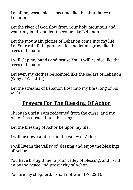Let all my waste places become like the abundance of Lebanon.

Let the river of God flow from Your holy mountain and water my land, and let it become like Lebanon.

Let the mountain glories of Lebanon come into my life. Let Your rain fall upon my life, and let me grow like the trees of Lebanon.

I will clap my hands and praise You, I will rejoice like the trees of Lebanon.

Let even my clothes be scented like the cedars of Lebanon (Song of Sol. 4:11).

Let the streams of Lebanon flow into my life (Song of Sol. 4:15).

# **Prayers For The Blessing Of Achor**

Through Christ I am redeemed from the curse, and my Achor has turned into a blessing.

Let the blessing of Achor be upon my life.

I will lie down and rest in the valley of Achor.

I will live in the valley of blessing and enjoy the blessings of Achor.

You have brought me to your valley of blessing, and I will enjoy the peace and prosperity of Achor.

You are my shepherd; I shall not want (Ps. 23:1).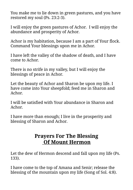You make me to lie down in green pastures, and you have restored my soul (Ps. 23:2-3).

I will enjoy the green pastures of Achor. I will enjoy the abundance and prosperity of Achor.

Achor is my habitation, because I am a part of Your flock. Command Your blessings upon me in Achor.

I have left the valley of the shadow of death, and I have come to Achor.

There is no strife in my valley, but I will enjoy the blessings of peace in Achor.

Let the beauty of Achor and Sharon be upon my life. I have come into Your sheepfold; feed me in Sharon and Achor.

I will be satisfied with Your abundance in Sharon and Achor.

I have more than enough; I live in the prosperity and blessing of Sharon and Achor.

# **Prayers For The Blessing Of Mount Hermon**

Let the dew of Hermon descend and fall upon my life (Ps. 133).

I have come to the top of Amana and Senir; release the blessing of the mountain upon my life (Song of Sol. 4:8).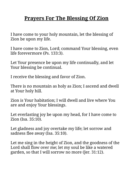# **Prayers For The Blessing Of Zion**

I have come to your holy mountain, let the blessing of Zion be upon my life.

I have come to Zion, Lord; command Your blessing, even life forevermore (Ps. 133:3).

Let Your presence be upon my life continually, and let Your blessing be continual.

I receive the blessing and favor of Zion.

There is no mountain as holy as Zion; I ascend and dwell at Your holy hill.

Zion is Your habitation; I will dwell and live where You are and enjoy Your blessings.

Let everlasting joy be upon my head, for I have come to Zion (Isa. 35:10).

Let gladness and joy overtake my life; let sorrow and sadness flee away (Isa. 35:10).

Let me sing in the height of Zion, and the goodness of the Lord shall flow over me; let my soul be like a watered garden, so that I will sorrow no more (Jer. 31:12).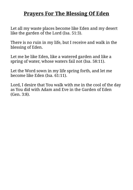# **Prayers For The Blessing Of Eden**

Let all my waste places become like Eden and my desert like the garden of the Lord (Isa. 51:3).

There is no ruin in my life, but I receive and walk in the blessing of Eden.

Let me be like Eden, like a watered garden and like a spring of water, whose waters fail not (Isa. 58:11).

Let the Word sown in my life spring forth, and let me become like Eden (Isa. 61:11).

Lord, I desire that You walk with me in the cool of the day as You did with Adam and Eve in the Garden of Eden (Gen. 3:8).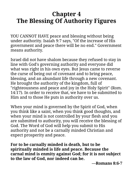# **Chapter 4 The Blessing Of Authority Figures**

YOU CANNOT HAVE peace and blessing without being under authority. Isaiah 9:7 says, "Of the increase of His government and peace there will be no end." Government means authority.

Israel did not have shalom because they refused to stay in line with God's governing authority and everyone did what was right in his own eyes. But Jesus came to reverse the curse of being out of covenant and to bring peace, blessing, and an abundant life through a new covenant. He brought the authority of the kingdom, full of "righteousness and peace and joy in the Holy Spirit" (Rom. 14:17). In order to receive that, we have to be submitted to Him and to those He puts in authority over us.

When your mind is governed by the Spirit of God, when you think like a saint, when you think good thoughts, and when your mind is not controlled by your flesh and you are submitted to authority, you will receive the blessing of God. The Word of God will help you submit to His authority and not be a carnally minded Christian and expect prosperity and peace.

**For to be carnally minded is death, but to be spiritually minded is life and peace. Because the carnal mind is enmity against God; for it is not subject to the law of God, nor indeed can be.**

**—Romans 8:6-7**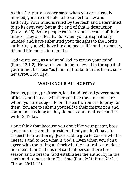As this Scripture passage says, when you are carnally minded, you are not able to be subject to law and authority. Your mind is ruled by the flesh and determined to go its own way, but at the end of that is destruction (Prov. 16:25). Some people can't prosper because of their minds. They are fleshly. But when you are spiritually minded and have submitted your thoughts to the Lord's authority, you will have life and peace, life and prosperity, life and life more abundantly.

God wants you, as a saint of God, to renew your mind (Rom. 12:1-2). He wants you to be renewed in the spirit of your mind, because "as [a man] thinketh in his heart, so is he" (Prov. 23:7, KJV).

### **WHO IS YOUR AUTHORITY?**

Parents, pastor, professors, local and federal government officials, and boss—whether you like them or not—are whom you are subject to on the earth. You are to pray for them. You are to submit yourself to their instruction and commands as long as they do not stand in direct conflict with God's laws.

Don't think that because you don't like your pastor, boss, governor, or even the president that you don't have to respect their authority. Jesus said to give to Caesar what is Caesar's and to God what is God's. Even when you don't agree with the ruling authority in the natural realm does not mean that God has not sat that person there for a season and a reason. God establishes the authority in the earth and removes it in His time (Dan. 2:21; Prov. 21:2; 1 Chron. 29:11-12).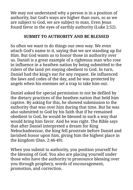We may not understand why a person is in a position of authority, but God's ways are higher than ours, so as we are subject to God, we are subject to man. Even Jesus found favor in the eyes of earthly authority (Luke 2:52).

### **SUBMIT TO AUTHORITY AND BE BLESSED**

So often we want to do things our own way. We even attach God's name to it, saying that we are standing up for Him. But God wants us to honor those in authority over us. Daniel is a great example of a righteous man who rose in influence in a heathen nation by being submitted to the rulers of the land yet staying obedient to God. In turn, Daniel had the king's ear for any request. He influenced the laws and codes of the day, and he was protected by angels when his enemies set a trap to take him out.

Daniel asked for special permission to not be defiled by the dietary practices of the heathen nation that held him captive. By asking for this, he showed submission to the authority that was over him during that time. But he was also submitted to God by his faith that if he remained obedient to God, he would be blessed in such a way that would bring him favor. And he was right. The Bible says that after Daniel interpreted a dream for King Nebuchadnezzar, the king fell prostrate before Daniel and lavished honor upon him, giving him the highest place in the kingdom (Dan. 2:46-49).

When you submit to authority, you position yourself for the blessing of God. You also are placing yourself under those who have the authority to pronounce blessing over you through prophecy, words of encouragement, promotion, and correction.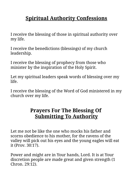# **Spiritual Authority Confessions**

I receive the blessing of those in spiritual authority over my life.

I receive the benedictions (blessings) of my church leadership.

I receive the blessing of prophecy from those who minister by the inspiration of the Holy Spirit.

Let my spiritual leaders speak words of blessing over my life.

I receive the blessing of the Word of God ministered in my church over my life.

# **Prayers For The Blessing Of Submitting To Authority**

Let me not be like the one who mocks his father and scorns obedience to his mother, for the ravens of the valley will pick out his eyes and the young eagles will eat it (Prov. 30:17).

Power and might are in Your hands, Lord. It is at Your discretion people are made great and given strength (1 Chron. 29:12).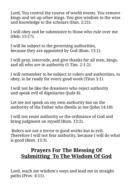Lord, You control the course of world events. You remove kings and set up other kings. You give wisdom to the wise and knowledge to the scholars (Dan. 2:21).

I will obey and be submissive to those who rule over me (Heb. 13:17).

I will be subject to the governing authorities, because they are appointed by God (Rom. 13:1).

I will pray, intercede, and give thanks for all men, kings, and all who are in authority (1 Tim. 2:1-2).

I will remember to be subject to rulers and authorities, to obey, to be ready for every good work (Titus 3:1).

I will not be like the dreamers who reject authority and speak evil of dignitaries (Jude 8).

Let me not speak on my own authority but on the authority of the Father who dwells in me (John 14:10).

I will not resist authority or the ordinance of God and bring judgment on myself (Rom. 13:2).

 Rulers are not a terror to good works but to evil. Therefore I will not fear authority, because I will do what is good (Rom. 13:3).

### **Prayers For The Blessing Of Submitting To The Wisdom Of God**

Lord, teach me wisdom's ways and lead me in straight paths (Prov. 4:11).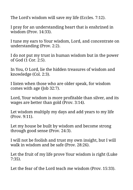The Lord's wisdom will save my life (Eccles. 7:12).

I pray for an understanding heart that is enshrined in wisdom (Prov. 14:33).

I tune my ears to Your wisdom, Lord, and concentrate on understanding (Prov. 2:2).

I do not put my trust in human wisdom but in the power of God (1 Cor. 2:5).

In You, O Lord, lie the hidden treasures of wisdom and knowledge (Col. 2:3).

I listen when those who are older speak, for wisdom comes with age (Job 32:7).

Lord, Your wisdom is more profitable than silver, and its wages are better than gold (Prov. 3:14).

Let wisdom multiply my days and add years to my life (Prov. 9:11).

Let my house be built by wisdom and become strong through good sense (Prov. 24:3).

I will not be foolish and trust my own insight, but I will walk in wisdom and be safe (Prov. 28:26).

Let the fruit of my life prove Your wisdom is right (Luke 7:35).

Let the fear of the Lord teach me wisdom (Prov. 15:33).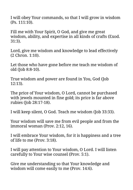I will obey Your commands, so that I will grow in wisdom (Ps. 111:10).

Fill me with Your Spirit, O God, and give me great wisdom, ability, and expertise in all kinds of crafts (Exod. 31:3).

Lord, give me wisdom and knowledge to lead effectively (2 Chron. 1:10).

Let those who have gone before me teach me wisdom of old (Job 8:8-10).

True wisdom and power are found in You, God (Job 12:13).

The price of Your wisdom, O Lord, cannot be purchased with jewels mounted in fine gold; its price is far above rubies (Job 28:17-18).

I will keep silent, O God. Teach me wisdom (Job 33:33).

Your wisdom will save me from evil people and from the immoral woman (Prov. 2:12, 16).

I will embrace Your wisdom, for it is happiness and a tree of life to me (Prov. 3:18).

I will pay attention to Your wisdom, O Lord. I will listen carefully to Your wise counsel (Prov. 5:1).

Give me understanding so that Your knowledge and wisdom will come easily to me (Prov. 14:6).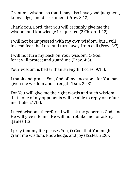Grant me wisdom so that I may also have good judgment, knowledge, and discernment (Prov. 8:12).

Thank You, Lord, that You will certainly give me the wisdom and knowledge I requested (2 Chron. 1:12).

I will not be impressed with my own wisdom, but I will instead fear the Lord and turn away from evil (Prov. 3:7).

I will not turn my back on Your wisdom, O God, for it will protect and guard me (Prov. 4:6).

Your wisdom is better than strength (Eccles. 9:16).

I thank and praise You, God of my ancestors, for You have given me wisdom and strength (Dan. 2:23).

For You will give me the right words and such wisdom that none of my opponents will be able to reply or refute me (Luke 21:15).

I need wisdom; therefore, I will ask my generous God, and He will give it to me. He will not rebuke me for asking (James 1:5).

I pray that my life pleases You, O God, that You might grant me wisdom, knowledge, and joy (Eccles. 2:26).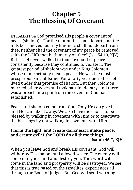# **Chapter 5 The Blessing Of Covenant**

IN ISAIAH 54 God promised His people a covenant of peace (shalom): "For the mountains shall depart, and the hills be removed; but my kindness shall not depart from thee, neither shall the covenant of my peace be removed, saith the LORD that hath mercy on thee" (Isa. 54:10, KJV). But Israel never walked in that covenant of peace consistently because they continued to violate it. The greatest period of shalom was under King Solomon, whose name actually means peace. He was the most prosperous king of Israel. For a forty-year period Israel lived under that promise of shalom. But then Solomon married other wives and took part in idolatry, and there was a breach or a split from the covenant God had established.

Peace and shalom come from God. Only He can give it, and He can take it away. We also have the choice to be blessed by walking in covenant with Him or to deactivate the blessings by not walking in covenant with Him.

### **I form the light, and create darkness: I make peace, and create evil: I the LORD do all these things. —Isaiah 45:7, KJV**

When you leave God and break His covenant, God will withdraw His shalom and allow disaster. The enemy will come into your land and destroy you. The sword will come in the land and prosperity will be destroyed. We see that this is true based on the Israelites' experiences all through the Book of Judges. But God will send warning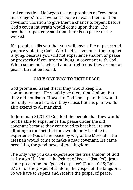and correction. He began to send prophets or "covenant messengers" to a covenant people to warn them of their covenant violation to give them a chance to repent before God's covenant wrath would come upon them. The prophets repeatedly said that there is no peace to the wicked.

If a prophet tells you that you will have a life of peace and you are violating God's Word—His covenant—the prophet is lying, because you will not experience shalom or peace or prosperity if you are not living in covenant with God. When someone is wicked and unrighteous, they are not at peace. Do not be fooled.

### **ONLY ONE WAY TO TRUE PEACE**

God promised Israel that if they would keep His commandments, He would give them that shalom. But they did not listen. However, God had a plan that would not only restore Israel, if they chose, but His plan would also extend to all mankind.

In Jeremiah 31:31-34 God told the people that they would not be able to experience His peace under the old covenant because they continued to break it. He was alluding to the fact that they would only be able to experience God's true peace by way of the Messiah. The Messiah would come to make a new covenant. He came preaching the good news of the kingdom.

The only way you can experience the true shalom of God is through His Son—"the Prince of Peace" (Isa. 9:6). Jesus came preaching the "gospel of peace" (Rom. 10:15; Eph. 6:15)—or the gospel of shalom, the gospel of the kingdom. So we have to repent and receive the gospel of peace.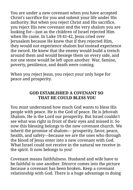You are under a new covenant when you have accepted Christ's sacrifice for you and submit your life under His authority. But when you reject Christ and His sacrifice, you reject His new covenant and the very shalom you are looking for—just as the children of Israel rejected Him when He came. In Luke 19:41-42, Jesus cried over Jerusalem because He knew that if they rejected Him, they would not experience shalom but instead experience the sword. He knew that the enemy would build a trench around them and would besiege them on every side, and not one stone would be left upon another. War, famine, poverty, pestilence, and death were coming.

When you reject Jesus, you reject your only hope for peace and prosperity.

### **GOD ESTABLISHED A COVENANT SO THAT HE COULD BLESS YOU**

You must understand how much God wants to bless His people with peace. He is the God of peace. He is Jehovah Shalom. He is the Lord our prosperity. But Israel couldn't see what was right in front of their eyes and missed it. So now this blessing belongs to the new covenant church. We inherit the promise of shalom— prosperity, favor, peace, health, and safety—because we are the ones who through the blood of Jesus enter into a new covenant with God. What Israel could not receive in the natural we receive in the spirit. It now belongs to you!

Covenant means faithfulness. Husband and wife have to be faithful to one another. Divorce comes into the picture because a covenant has been broken. Keep a covenant relationship with God. There is a huge advantage to doing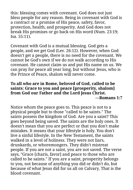this: blessing comes with covenant. God does not just bless people for any reason. Being in covenant with God is a contract or a promise of His peace, safety, favor, protection, health, and prosperity. And God does not break His promises or go back on His word (Num. 23:19; Isa. 55:11).

Covenant with God is a mutual blessing. God gets a people, and we get God (Lev. 26:12). However, when God doesn't get a people, there is no need for the covenant. We cannot be God's own if we do not walk according to His covenant. He cannot claim us and put His name on us. We can pray for peace all year long, but without Jesus, who is the Prince of Peace, shalom will never come.

### **To all who are in Rome, beloved of God, called to be saints: Grace to you and peace [prosperity, shalom] from God our Father and the Lord Jesus Christ. —Romans 1:7**

Notice whom the peace goes to. This peace is not to a physical people but to those "called to be saints." The saints possess the kingdom of God. Are you a saint? This goes beyond being saved. The saints are the holy ones. It doesn't mean that you are perfect or that you don't make mistakes. It means that your lifestyle is holy. You don't live a sinful lifestyle. In the New Testament, the saints walked in a level of holiness. They were not liars, drunkards, or whoremongers. They didn't mistreat people. If you are not a saint, you are not saved. The verse says, "Grace [charis, favor] and peace to those who are called to be saints." If you are a saint, prosperity belongs to you, not because of anything you did or didn't do, but because of what Jesus did for us all on Calvary. That is the blood covenant.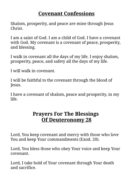# **Covenant Confessions**

Shalom, prosperity, and peace are mine through Jesus Christ.

I am a saint of God. I am a child of God. I have a covenant with God. My covenant is a covenant of peace, prosperity, and blessing.

I walk in covenant all the days of my life. I enjoy shalom, prosperity, peace, and safety all the days of my life.

I will walk in covenant.

I will be faithful to the covenant through the blood of Jesus.

I have a covenant of shalom, peace and prosperity, in my life.

## **Prayers For The Blessings Of Deuteronomy 28**

Lord, You keep covenant and mercy with those who love You and keep Your commandments (Exod. 20).

Lord, You bless those who obey Your voice and keep Your covenant.

Lord, I take hold of Your covenant through Your death and sacrifice.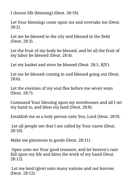I choose life (blessing) (Deut. 30:19).

Let Your blessings come upon me and overtake me (Deut. 28:2).

Let me be blessed in the city and blessed in the field (Deut. 28:3).

Let the fruit of my body be blessed, and let all the fruit of my labor be blessed (Deut. 28:4).

Let my basket and store be blessed (Deut. 28:5, KJV).

Let me be blessed coming in and blessed going out (Deut. 28:6).

Let the enemies of my soul flee before me seven ways (Deut. 28:7).

Command Your blessing upon my storehouses and all I set my hand to, and bless my land (Deut. 28:8).

Establish me as a holy person unto You, Lord (Deut. 28:9).

 Let all people see that I am called by Your name (Deut. 28:10).

Make me plenteous in goods (Deut. 28:11).

 Open unto me Your good treasure, and let heaven's rain fall upon my life and bless the work of my hand (Deut. 28:12).

 Let me lend (give) unto many nations and not borrow (Deut. 28:12).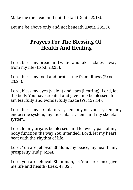Make me the head and not the tail (Deut. 28:13).

Let me be above only and not beneath (Deut. 28:13).

### **Prayers For The Blessing Of Health And Healing**

Lord, bless my bread and water and take sickness away from my life (Exod. 23:25).

Lord, bless my food and protect me from illness (Exod. 23:25).

Lord, bless my eyes (vision) and ears (hearing). Lord, let the body You have created and given me be blessed, for I am fearfully and wonderfully made (Ps. 139:14).

Lord, bless my circulatory system, my nervous system, my endocrine system, my muscular system, and my skeletal system.

Lord, let my organs be blessed, and let every part of my body function the way You intended. Lord, let my heart beat with the rhythm of life.

Lord, You are Jehovah Shalom, my peace, my health, my prosperity (Judg. 6:24).

Lord, you are Jehovah Shammah; let Your presence give me life and health (Ezek. 48:35).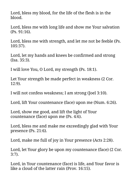Lord, bless my blood, for the life of the flesh is in the blood.

Lord, bless me with long life and show me Your salvation (Ps. 91:16).

Lord, bless me with strength, and let me not be feeble (Ps. 105:37).

Lord, let my hands and knees be confirmed and strong (Isa. 35:3).

I will love You, O Lord, my strength (Ps. 18:1).

Let Your strength be made perfect in weakness (2 Cor. 12:9).

I will not confess weakness; I am strong (Joel 3:10).

Lord, lift Your countenance (face) upon me (Num. 6:26).

Lord, show me good, and lift the light of Your countenance (face) upon me (Ps. 4:6).

Lord, bless me and make me exceedingly glad with Your presence (Ps. 21:6).

Lord, make me full of joy in Your presence (Acts 2:28).

Lord, let Your glory be upon my countenance (face) (2 Cor. 3:7).

Lord, in Your countenance (face) is life, and Your favor is like a cloud of the latter rain (Prov. 16:15).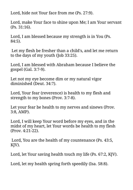Lord, hide not Your face from me (Ps. 27:9).

Lord, make Your face to shine upon Me; I am Your servant (Ps. 31:16).

Lord, I am blessed because my strength is in You (Ps. 84:5).

 Let my flesh be fresher than a child's, and let me return to the days of my youth (Job 33:25).

Lord, I am blessed with Abraham because I believe the gospel (Gal. 3:7-9).

Let not my eye become dim or my natural vigor diminished (Deut. 34:7).

Lord, Your fear (reverence) is health to my flesh and strength to my bones (Prov. 3:7-8).

Let your fear be health to my nerves and sinews (Prov. 3:8, AMP).

Lord, I will keep Your word before my eyes, and in the midst of my heart, let Your words be health to my flesh (Prov. 4:21-22).

 Lord, You are the health of my countenance (Ps. 43:5, KJV).

Lord, let Your saving health touch my life (Ps. 67:2, KJV).

Lord, let my health spring forth speedily (Isa. 58:8).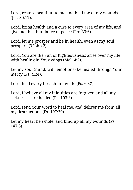Lord, restore health unto me and heal me of my wounds (Jer. 30:17).

Lord, bring health and a cure to every area of my life, and give me the abundance of peace (Jer. 33:6).

Lord, let me prosper and be in health, even as my soul prospers (3 John 2).

Lord, You are the Sun of Righteousness; arise over my life with healing in Your wings (Mal. 4:2).

Let my soul (mind, will, emotions) be healed through Your mercy (Ps. 41:4).

Lord, heal every breach in my life (Ps. 60:2).

Lord, I believe all my iniquities are forgiven and all my sicknesses are healed (Ps. 103:3).

Lord, send Your word to heal me, and deliver me from all my destructions (Ps. 107:20).

Let my heart be whole, and bind up all my wounds (Ps. 147:3).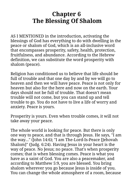# **Chapter 6 The Blessing Of Shalom**

AS I MENTIONED in the introduction, activating the blessings of God has everything to do with dwelling in the peace or shalom of God, which is an all-inclusive word that encompasses prosperity, safety, health, protection, fruitfulness, and abundance. According to the Hebrew definition, we can substitute the word prosperity with shalom (peace).

Religion has conditioned us to believe that life should be full of trouble and that one day by and by we will go to heaven and then we will have peace. Peace is not only for heaven but also for the here and now on the earth. Your days should not be full of trouble. That doesn't mean trouble will not come, but you can stand up and tell trouble to go. You do not have to live a life of worry and anxiety. Peace is yours.

Prosperity is yours. Even when trouble comes, it will not take away your peace.

The whole world is looking for peace. But there is only one way to peace, and that is through Jesus. He says, "I am the way..." (John 14:6); "I am The-Lord-Is-Peace [Jehovah Shalom]" (Judg. 6:24). Having Jesus in your heart is the way of peace. No Jesus; no peace. That's when prosperity comes; that is when blessing comes. Peace is what you have as a saint of God. You are also a peacemaker, and according to Matthew 5:9, you are blessed. You bring shalom wherever you go because Jesus is inside of you. You can change the whole atmosphere of a room, because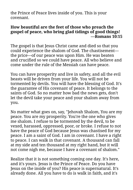the Prince of Peace lives inside of you. This is your covenant.

### **How beautiful are the feet of those who preach the gospel of peace, who bring glad tidings of good things! —Romans 10:15**

The gospel is that Jesus Christ came and died so that you could experience the shalom of God. The chastisement the price—of our peace was upon Him. He was beaten and crucified so we could have peace. All who believe and come under the rule of the Messiah can have peace.

You can have prosperity and live in safety, and all the evil beasts will be driven from your life. You will not be tormented by devils. You will have the blessing of God. It's the guarantee of His covenant of peace. It belongs to the saints of God. So no matter how bad the news gets, don't let the devil take your peace and your shalom away from you.

No matter what goes on, say, "Jehovah Shalom, You are my peace. You are my prosperity. You're the one who gives me shalom. I refuse to be tormented by the devil, to be vexed, harassed, oppressed, poor, or broke. I refuse to not have the peace of God because Jesus was chastised for my peace. I am a saint of God. I am in covenant. I have a right to peace. I can walk in that covenant. A thousand can fall at my side and ten thousand at my right hand, but it will not come nigh me, because I have a covenant of shalom."

Realize that it is not something coming one day. It's here, and it's yours. Jesus is the Prince of Peace. Do you have Jesus on the inside of you? His peace is supernatural. It's already done. All you have to do is walk in faith, and it's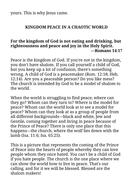yours. This is why Jesus came.

### **KINGDOM PEACE IN A CHAOTIC WORLD**

### **For the kingdom of God is not eating and drinking, but righteousness and peace and joy in the Holy Spirit. —Romans 14:17**

Peace is the kingdom of God. If you're not in the kingdom, you don't have shalom. If you call yourself a child of God, but you keep up a lot of confusion, there's something wrong. A child of God is a peacemaker (Rom. 12:18; Heb. 12:14). Are you a peaceable person? Do you like mess? The church is intended by God to be a model of shalom to the world.

When the world is struggling to find peace, where can they go? Whom can they turn to? Where is the model for peace? Whom can the world look at to see a model for peace? Whom can they look at as a group of people from all different backgrounds—black and white, Jew and Gentile, coming together and living in peace because of the Prince of Peace? There is only one place that this happens—the church, where the wolf lies down with the lamb (Isa. 11:6; Isa. 65:25).

This is a picture that represents the coming of the Prince of Peace into the hearts of people whereby they can love people whom they once hated. You can't be a child of God if you hate people. The church is the one place where we can show the world how to live in peace. That's our calling, and for it we will be blessed. Blessed are the shalom makers!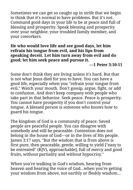Sometimes we can get so caught up in strife that we begin to think that it's normal to have problems. But it's not. Command good days in your life to be at peace and full of blessing and prosperity. Speak blessing and prosperity over your neighbor, your troubled family member, and your coworkers.

### **He who would love life and see good days, let him refrain his tongue from evil, and his lips from speaking deceit. Let him turn away from evil and do good; let him seek peace and pursue it.**

**—1 Peter 3:10-11**

Some don't think they are living unless it's hard. But that is not what Jesus died for you to have. You can have a good life, especially when you "refrain your tongue from evil." Watch your mouth. Don't gossip, argue, fight, or add to confusion. And don't keep company with people who take part in that behavior. Seek peace. Peace is prosperity. You cannot have prosperity if you don't control your tongue. A blessed person is someone who knows how to guard his tongue.

The kingdom of God is a community of peace. Saved people are peaceful people. You can disagree with somebody and still be peaceable. Contention does not belong in the house of God—or in the lives of His people. James 3:17 says, "But the wisdom that is from above is first pure, then peaceable, gentle, willing to yield ["easy to be entreated" (KJV), approachable], full of mercy and good fruits, without partiality and without hypocrisy."

When you're walking in God's wisdom, hearing from heaven and hearing the voice of God...when you're getting your wisdom from above, not earthly or fleshly wisdom...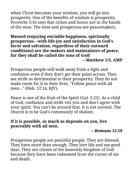when Christ becomes your wisdom, you will go into prosperity. One of the benefits of wisdom is prosperity. Proverbs 3:16 says that riches and honor are in the hands of the wise. The wise and prosperous are peacemakers.

**Blessed (enjoying enviable happiness, spiritually prosperous—with life-joy and satisfaction in God's favor and salvation, regardless of their outward conditions) are the makers and maintainers of peace, for they shall be called the sons of God! —Matthew 5:9, AMP**

Prosperous people will walk away from a fight and confusion even if they don't get their point across. They see strife as detrimental to their prosperity. They do not make room for it in their lives. "Follow peace with all men..." (Heb. 12:14, KJV).

Peace is one of the fruit of the Spirit (Gal. 5:22). As a child of God, confusion and strife vex you and don't agree with your spirit. You can't be around that. It is not normal. The church is to be God's community of shalom.

#### **If it is possible, as much as depends on you, live peaceably with all men.**

### **—Romans 12:18**

Prosperous people are peaceful people. They are blessed. They have more than enough. They love life and see good days. They are citizen of the heavenly kingdom of God because they have been redeemed from the curses of sin and death.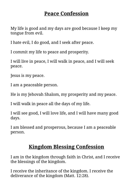# **Peace Confession**

My life is good and my days are good because I keep my tongue from evil.

I hate evil, I do good, and I seek after peace.

I commit my life to peace and prosperity.

I will live in peace, I will walk in peace, and I will seek peace.

Jesus is my peace.

I am a peaceable person.

He is my Jehovah Shalom, my prosperity and my peace.

I will walk in peace all the days of my life.

I will see good, I will love life, and I will have many good days.

I am blessed and prosperous, because I am a peaceable person.

# **Kingdom Blessing Confession**

I am in the kingdom through faith in Christ, and I receive the blessings of the kingdom.

I receive the inheritance of the kingdom. I receive the deliverance of the kingdom (Matt. 12:28).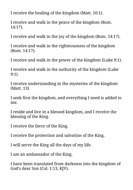I receive the healing of the kingdom (Matt. 10:1).

I receive and walk in the peace of the kingdom (Rom. 14:17).

I receive and walk in the joy of the kingdom (Rom. 14:17).

I receive and walk in the righteousness of the kingdom (Rom. 14:17).

I receive and walk in the power of the kingdom (Luke 9:1).

I receive and walk in the authority of the kingdom (Luke 9:1).

I receive understanding in the mysteries of the kingdom (Matt. 13).

I seek first the kingdom, and everything I need is added to me.

I reside and live in a blessed kingdom, and I receive the blessing of the King.

I receive the favor of the King.

I receive the protection and salvation of the King.

I will serve the King all the days of my life.

I am an ambassador of the King.

I have been translated from darkness into the kingdom of God's dear Son (Col. 1:13, KJV).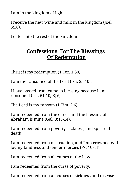I am in the kingdom of light.

I receive the new wine and milk in the kingdom (Joel 3:18).

I enter into the rest of the kingdom.

## **Confessions For The Blessings Of Redemption**

Christ is my redemption (1 Cor. 1:30).

I am the ransomed of the Lord (Isa. 35:10).

I have passed from curse to blessing because I am ransomed (Isa. 51:10, KJV).

The Lord is my ransom (1 Tim. 2:6).

I am redeemed from the curse, and the blessing of Abraham is mine (Gal. 3:13-14).

I am redeemed from poverty, sickness, and spiritual death.

I am redeemed from destruction, and I am crowned with loving-kindness and tender mercies (Ps. 103:4).

I am redeemed from all curses of the Law.

I am redeemed from the curse of poverty.

I am redeemed from all curses of sickness and disease.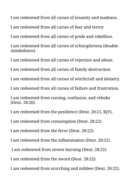I am redeemed from all curses of insanity and madness.

I am redeemed from all curses of fear and terror.

I am redeemed from all curses of pride and rebellion.

I am redeemed from all curses of schizophrenia (doublemindedness).

I am redeemed from all curses of rejection and abuse.

I am redeemed from all curses of family destruction.

I am redeemed from all curses of witchcraft and idolatry.

I am redeemed from all curses of failure and frustration.

I am redeemed from cursing, confusion, and rebuke (Deut. 28:20).

I am redeemed from the pestilence (Deut. 28:21, KJV).

I am redeemed from consumption (Deut. 28:22).

I am redeemed from the fever (Deut. 28:22).

I am redeemed from the inflammation (Deut. 28:22).

I am redeemed from severe burning (Deut. 28:22).

I am redeemed from the sword (Deut. 28:22).

I am redeemed from scorching and mildew (Deut. 28:22).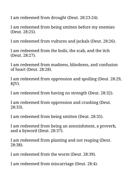I am redeemed from drought (Deut. 28:23-24).

I am redeemed from being smitten before my enemies (Deut. 28:25).

I am redeemed from vultures and jackals (Deut. 28:26).

I am redeemed from the boils, the scab, and the itch (Deut. 28:27).

I am redeemed from madness, blindness, and confusion of heart (Deut. 28:28).

I am redeemed from oppression and spoiling (Deut. 28:29, KJV).

I am redeemed from having no strength (Deut. 28:32).

I am redeemed from oppression and crushing (Deut. 28:33).

I am redeemed from being smitten (Deut. 28:35).

I am redeemed from being an astonishment, a proverb, and a byword (Deut. 28:37).

I am redeemed from planting and not reaping (Deut. 28:38).

I am redeemed from the worm (Deut. 28:39).

I am redeemed from miscarriage (Deut. 28:4).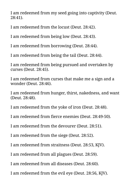I am redeemed from my seed going into captivity (Deut. 28:41).

I am redeemed from the locust (Deut. 28:42).

I am redeemed from being low (Deut. 28:43).

I am redeemed from borrowing (Deut. 28:44).

I am redeemed from being the tail (Deut. 28:44).

I am redeemed from being pursued and overtaken by curses (Deut. 28:45).

I am redeemed from curses that make me a sign and a wonder (Deut. 28:46).

I am redeemed from hunger, thirst, nakedness, and want (Deut. 28:48).

I am redeemed from the yoke of iron (Deut. 28:48).

I am redeemed from fierce enemies (Deut. 28:49-50).

I am redeemed from the devourer (Deut. 28:51).

I am redeemed from the siege (Deut. 28:52).

I am redeemed from straitness (Deut. 28:53, KJV).

I am redeemed from all plagues (Deut. 28:59).

I am redeemed from all diseases (Deut. 28:60).

I am redeemed from the evil eye (Deut. 28:56, KJV).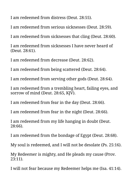I am redeemed from distress (Deut. 28:55).

I am redeemed from serious sicknesses (Deut. 28:59).

I am redeemed from sicknesses that cling (Deut. 28:60).

I am redeemed from sicknesses I have never heard of (Deut. 28:61).

I am redeemed from decrease (Deut. 28:62).

I am redeemed from being scattered (Deut. 28:64).

I am redeemed from serving other gods (Deut. 28:64).

I am redeemed from a trembling heart, failing eyes, and sorrow of mind (Deut. 28:65, KJV).

I am redeemed from fear in the day (Deut. 28:66).

I am redeemed from fear in the night (Deut. 28:66).

I am redeemed from my life hanging in doubt (Deut. 28:66).

I am redeemed from the bondage of Egypt (Deut. 28:68).

My soul is redeemed, and I will not be desolate (Ps. 25:16).

My Redeemer is mighty, and He pleads my cause (Prov. 23:11).

I will not fear because my Redeemer helps me (Isa. 41:14).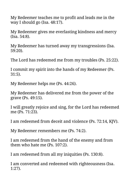My Redeemer teaches me to profit and leads me in the way I should go (Isa. 48:17).

My Redeemer gives me everlasting kindness and mercy (Isa. 54:8).

My Redeemer has turned away my transgressions (Isa. 59:20).

The Lord has redeemed me from my troubles (Ps. 25:22).

I commit my spirit into the hands of my Redeemer (Ps. 31:5).

My Redeemer helps me (Ps. 44:26).

My Redeemer has delivered me from the power of the grave (Ps. 49:15).

I will greatly rejoice and sing, for the Lord has redeemed me (Ps. 71:23).

I am redeemed from deceit and violence (Ps. 72:14, KJV).

My Redeemer remembers me (Ps. 74:2).

I am redeemed from the hand of the enemy and from them who hate me (Ps. 107:2).

I am redeemed from all my iniquities (Ps. 130:8).

I am converted and redeemed with righteousness (Isa. 1:27).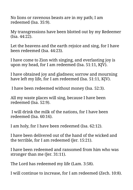No lions or ravenous beasts are in my path; I am redeemed (Isa. 35:9).

My transgressions have been blotted out by my Redeemer (Isa. 44:22).

Let the heavens and the earth rejoice and sing, for I have been redeemed (Isa. 44:23).

I have come to Zion with singing, and everlasting joy is upon my head, for I am redeemed (Isa. 51:11, KJV).

I have obtained joy and gladness; sorrow and mourning have left my life, for I am redeemed (Isa. 51:11, KJV).

I have been redeemed without money (Isa. 52:3).

All my waste places will sing, because I have been redeemed (Isa. 52:9).

 I will drink the milk of the nations, for I have been redeemed (Isa. 60:16).

I am holy, for I have been redeemed (Isa. 62:12).

I have been delivered out of the hand of the wicked and the terrible, for I am redeemed (Jer. 15:21).

I have been redeemed and ransomed from him who was stronger than me (Jer. 31:11).

The Lord has redeemed my life (Lam. 3:58).

I will continue to increase, for I am redeemed (Zech. 10:8).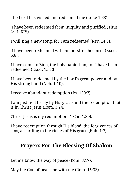The Lord has visited and redeemed me (Luke 1:68).

 I have been redeemed from iniquity and purified (Titus 2:14, KJV).

I will sing a new song, for I am redeemed (Rev. 14:3).

 I have been redeemed with an outstretched arm (Exod. 6:6).

I have come to Zion, the holy habitation, for I have been redeemed (Exod. 15:13).

I have been redeemed by the Lord's great power and by His strong hand (Neh. 1:10).

I receive abundant redemption (Ps. 130:7).

I am justified freely by His grace and the redemption that is in Christ Jesus (Rom. 3:24).

Christ Jesus is my redemption (1 Cor. 1:30).

I have redemption through His blood, the forgiveness of sins, according to the riches of His grace (Eph. 1:7).

### **Prayers For The Blessing Of Shalom**

Let me know the way of peace (Rom. 3:17).

May the God of peace be with me (Rom. 15:33).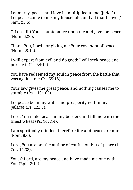Let mercy, peace, and love be multiplied to me (Jude 2). Let peace come to me, my household, and all that I have (1 Sam. 25:6).

O Lord, lift Your countenance upon me and give me peace (Num. 6:26).

Thank You, Lord, for giving me Your covenant of peace (Num. 25:12).

I will depart from evil and do good; I will seek peace and pursue it (Ps. 34:14).

You have redeemed my soul in peace from the battle that was against me (Ps. 55:18).

Your law gives me great peace, and nothing causes me to stumble (Ps. 119:165).

Let peace be in my walls and prosperity within my palaces (Ps. 122:7).

Lord, You make peace in my borders and fill me with the finest wheat (Ps. 147:14).

I am spiritually minded; therefore life and peace are mine (Rom. 8:6).

Lord, You are not the author of confusion but of peace (1 Cor. 14:33).

You, O Lord, are my peace and have made me one with You (Eph. 2:14).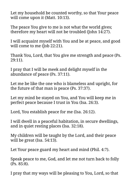Let my household be counted worthy, so that Your peace will come upon it (Matt. 10:13).

The peace You give to me is not what the world gives; therefore my heart will not be troubled (John 14:27).

I will acquaint myself with You and be at peace, and good will come to me (Job 22:21).

Thank You, Lord, that You give me strength and peace (Ps. 29:11).

I pray that I will be meek and delight myself in the abundance of peace (Ps. 37:11).

Let me be like the one who is blameless and upright, for the future of that man is peace (Ps. 37:37).

Let my mind be stayed on You, and You will keep me in perfect peace because I trust in You (Isa. 26:3).

Lord, You establish peace for me (Isa. 26:12).

I will dwell in a peaceful habitation, in secure dwellings, and in quiet resting places (Isa. 32:18).

My children will be taught by the Lord, and their peace will be great (Isa. 54:13).

Let Your peace guard my heart and mind (Phil. 4:7).

Speak peace to me, God, and let me not turn back to folly (Ps. 85:8).

I pray that my ways will be pleasing to You, Lord, so that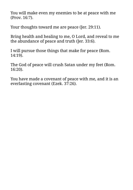You will make even my enemies to be at peace with me (Prov. 16:7).

Your thoughts toward me are peace (Jer. 29:11).

Bring health and healing to me, O Lord, and reveal to me the abundance of peace and truth (Jer. 33:6).

I will pursue those things that make for peace (Rom. 14:19).

The God of peace will crush Satan under my feet (Rom. 16:20).

You have made a covenant of peace with me, and it is an everlasting covenant (Ezek. 37:26).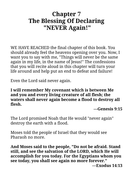# **Chapter 7 The Blessing Of Declaring "NEVER Again!"**

WE HAVE REACHED the final chapter of this book. You should already feel the heavens opening over you. Now, I want you to say with me, "Things will never be the same again in my life, in the name of Jesus!" The confessions that you will recite aloud in this chapter will turn your life around and help put an end to defeat and failure!

Even the Lord said never again.

**I will remember My covenant which is between Me and you and every living creature of all flesh; the waters shall never again become a flood to destroy all flesh.**

**—Genesis 9:15**

The Lord promised Noah that He would "never again" destroy the earth with a flood.

Moses told the people of Israel that they would see Pharaoh no more.

**And Moses said to the people, "Do not be afraid. Stand still, and see the salvation of the LORD, which He will accomplish for you today. For the Egyptians whom you see today, you shall see again no more forever." —Exodus 14:13**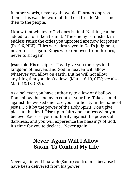In other words, never again would Pharaoh oppress them. This was the word of the Lord first to Moses and then to the people.

I know that whatever God does is final. Nothing can be added to it or taken from it. "The enemy is finished, in endless ruins; the cities you uprooted are now forgotten" (Ps. 9:6, NLT). Cities were destroyed in God's judgment, never to rise again. Kings were removed from thrones, never to sit again.

Jesus told His disciples, "I will give you the keys to the kingdom of heaven, and God in heaven will allow whatever you allow on earth. But he will not allow anything that you don't allow" (Matt. 16:19, CEV; see also Matt. 18:18, CEV).

As a believer you have authority to allow or disallow. Don't allow the enemy to control your life. Take a stand against the wicked one. Use your authority in the name of Jesus. Do it by the power of the Holy Spirit. Don't give place to the devil. Rise up in faith and confess what you believe. Exercise your authority against the powers of darkness, and you will experience the blessings of God. It's time for you to declare, "Never again!"

## **Never Again Will I Allow Satan To Control My Life**

Never again will Pharaoh (Satan) control me, because I have been delivered from his power.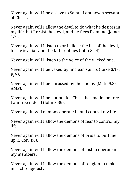Never again will I be a slave to Satan; I am now a servant of Christ.

Never again will I allow the devil to do what he desires in my life, but I resist the devil, and he flees from me (James 4:7).

Never again will I listen to or believe the lies of the devil, for he is a liar and the father of lies (John 8:44).

Never again will I listen to the voice of the wicked one.

Never again will I be vexed by unclean spirits (Luke 6:18, KJV).

Never again will I be harassed by the enemy (Matt. 9:36, AMP).

Never again will I be bound, for Christ has made me free. I am free indeed (John 8:36).

Never again will demons operate in and control my life.

Never again will I allow the demons of fear to control my life.

Never again will I allow the demons of pride to puff me up (1 Cor. 4:6).

Never again will I allow the demons of lust to operate in my members.

Never again will I allow the demons of religion to make me act religiously.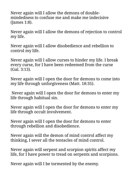Never again will I allow the demons of doublemindedness to confuse me and make me indecisive (James 1:8).

Never again will I allow the demons of rejection to control my life.

Never again will I allow disobedience and rebellion to control my life.

Never again will I allow curses to hinder my life. I break every curse, for I have been redeemed from the curse (Gal. 3:13).

Never again will I open the door for demons to come into my life through unforgiveness (Matt. 18:35).

 Never again will I open the door for demons to enter my life through habitual sin.

Never again will I open the door for demons to enter my life through occult involvement.

Never again will I open the door for demons to enter through rebellion and disobedience.

Never again will the demon of mind control affect my thinking, I sever all the tentacles of mind control.

Never again will serpent and scorpion spirits affect my life, for I have power to tread on serpents and scorpions.

Never again will I be tormented by the enemy.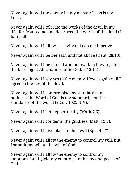Never again will the enemy be my master; Jesus is my Lord.

Never again will I tolerate the works of the devil in my life, for Jesus came and destroyed the works of the devil (1) John 3:8).

Never again will I allow passivity to keep me inactive.

Never again will I be beneath and not above (Deut. 28:13).

Never again will I be cursed and not walk in blessing, for the blessing of Abraham is mine (Gal. 3:13-14).

Never again will I say yes to the enemy. Never again will I agree to the lies of the devil.

Never again will I compromise my standards and holiness; the Word of God is my standard, not the standards of the world (2 Cor. 10:2, NIV).

Never again will I act hypocritically (Mark 7:6).

Never again will I condemn the guiltless (Matt. 12:7).

Never again will I give place to the devil (Eph. 4:27).

Never again will I allow the enemy to control my will, but I submit my will to the will of God.

Never again will I allow the enemy to control my emotions, but I yield my emotions to the joy and peace of God.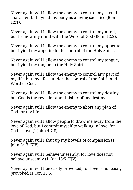Never again will I allow the enemy to control my sexual character, but I yield my body as a living sacrifice (Rom. 12:1).

Never again will I allow the enemy to control my mind, but I renew my mind with the Word of God (Rom. 12:2).

Never again will I allow the enemy to control my appetite, but I yield my appetite to the control of the Holy Spirit.

Never again will I allow the enemy to control my tongue, but I yield my tongue to the Holy Spirit.

Never again will I allow the enemy to control any part of my life, but my life is under the control of the Spirit and Word of God.

Never again will I allow the enemy to control my destiny, but God is the revealer and finisher of my destiny.

Never again will I allow the enemy to abort any plan of God for my life.

Never again will I allow people to draw me away from the love of God, but I commit myself to walking in love, for God is love (1 John 4:7-8).

Never again will I shut up my bowels of compassion (1 John 3:17, KJV).

Never again will I behave unseemly, for love does not behave unseemly (1 Cor. 13:5, KJV).

Never again will I be easily provoked, for love is not easily provoked (1 Cor. 13:5).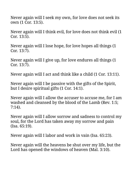Never again will I seek my own, for love does not seek its own (1 Cor. 13:5).

Never again will I think evil, for love does not think evil (1 Cor. 13:5).

Never again will I lose hope, for love hopes all things (1 Cor. 13:7).

Never again will I give up, for love endures all things (1 Cor. 13:7).

Never again will I act and think like a child (1 Cor. 13:11).

Never again will I be passive with the gifts of the Spirit, but I desire spiritual gifts (1 Cor. 14:1).

Never again will I allow the accuser to accuse me, for I am washed and cleansed by the blood of the Lamb (Rev. 1:5; 7:14).

Never again will I allow sorrow and sadness to control my soul, for the Lord has taken away my sorrow and pain (Isa. 65:19).

Never again will I labor and work in vain (Isa. 65:23).

Never again will the heavens be shut over my life, but the Lord has opened the windows of heaven (Mal. 3:10).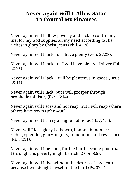## **Never Again Will I Allow Satan To Control My Finances**

Never again will I allow poverty and lack to control my life, for my God supplies all my need according to His riches in glory by Christ Jesus (Phil. 4:19).

Never again will I lack, for I have plenty (Gen. 27:28).

Never again will I lack, for I will have plenty of silver (Job 22:25).

Never again will I lack; I will be plenteous in goods (Deut. 28:11).

Never again will I lack, but I will prosper through prophetic ministry (Ezra 6:14).

Never again will I sow and not reap, but I will reap where others have sown (John 4:38).

Never again will I carry a bag full of holes (Hag. 1:6).

Never will I lack glory (kabowd), honor, abundance, riches, splendor, glory, dignity, reputation, and reverence (Ps. 84:11).

Never again will I be poor, for the Lord became poor that I through His poverty might be rich (2 Cor. 8:9).

Never again will I live without the desires of my heart, because I will delight myself in the Lord (Ps. 37:4).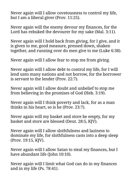Never again will I allow covetousness to control my life, but I am a liberal giver (Prov. 11:25).

Never again will the enemy devour my finances, for the Lord has rebuked the devourer for my sake (Mal. 3:11).

Never again will I hold back from giving, for I give, and it is given to me, good measure, pressed down, shaken together, and running over do men give to me (Luke 6:38).

Never again will I allow fear to stop me from giving.

Never again will I allow debt to control my life, for I will lend unto many nations and not borrow, for the borrower is servant to the lender (Prov. 22:7).

Never again will I allow doubt and unbelief to stop me from believing in the promises of God (Heb. 3:19).

Never again will I think poverty and lack, for as a man thinks in his heart, so is he (Prov. 23:7).

Never again will my basket and store be empty, for my basket and store are blessed (Deut. 28:5, KJV).

Never again will I allow slothfulness and laziness to dominate my life, for slothfulness casts into a deep sleep (Prov. 19:15, KJV).

Never again will I allow Satan to steal my finances, but I have abundant life (John 10:10).

Never again will I limit what God can do in my finances and in my life (Ps. 78:41).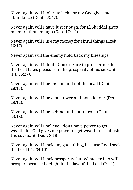Never again will I tolerate lack, for my God gives me abundance (Deut. 28:47).

Never again will I have just enough, for El Shaddai gives me more than enough (Gen. 17:1-2).

Never again will I use my money for sinful things (Ezek. 16:17).

Never again will the enemy hold back my blessings.

Never again will I doubt God's desire to prosper me, for the Lord takes pleasure in the prosperity of his servant (Ps. 35:27).

Never again will I be the tail and not the head (Deut. 28:13).

Never again will I be a borrower and not a lender (Deut. 28:12).

Never again will I be behind and not in front (Deut. 25:18).

Never again will I believe I don't have power to get wealth, for God gives me power to get wealth to establish His covenant (Deut. 8:18).

Never again will I lack any good thing, because I will seek the Lord (Ps. 34:10).

Never again will I lack prosperity, but whatever I do will prosper, because I delight in the law of the Lord (Ps. 1).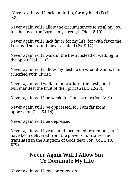Never again will I lack anointing for my head (Eccles. 9:8).

Never again will I allow the circumstances to steal my joy, for the joy of the Lord is my strength (Neh. 8:10).

Never again will I lack favor for my life, for with favor the Lord will surround me as a shield (Ps. 5:12).

Never again will I walk in the flesh instead of walking in the Spirit (Gal. 5:16).

Never again will I allow my flesh to do what it wants. I am crucified with Christ.

Never again will walk in the works of the flesh, but I will manifest the fruit of the Spirit (Gal. 5:22-23).

Never again will I be weak, for I am strong (Joel 3:10).

Never again will I be oppressed, for I am far from oppression (Isa. 54:14).

Never again will I be depressed.

Never again will I vexed and tormented by demons, for I have been delivered from the power of darkness and translated in the kingdom of Gods dear Son (Col. 1:13, KJV).

# **Never Again Will I Allow Sin To Dominate My Life**

Never again will I love or enjoy sin.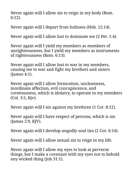Never again will I allow sin to reign in my body (Rom. 6:12).

Never again will I depart from holiness (Heb. 12:14).

Never again will I allow lust to dominate me (2 Pet. 1:4).

Never again will I yield my members as members of unrighteousness, but I yield my members as instruments of righteousness (Rom. 6:13).

Never again will I allow lust to war in my members, causing me to war and fight my brothers and sisters (James 4:1).

Never again will I allow fornication, uncleanness, inordinate affection, evil concupiscence, and covetousness, which is idolatry, to operate in my members (Col. 3:5, Kjv).

Never again will I sin against my brethren (1 Cor. 8:12).

Never again will I have respect of persons, which is sin (James 2:9, KJV).

Never again will I develop ungodly soul ties (2 Cor. 6:14).

Never again will I allow sexual sin to reign in my life.

Never again will I allow my eyes to look at perverse things, but I make a covenant with my eyes not to behold any wicked thing (Job 31:1).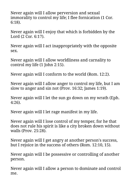Never again will I allow perversion and sexual immorality to control my life; I flee fornication (1 Cor. 6:18).

Never again will I enjoy that which is forbidden by the Lord (2 Cor. 6:17).

Never again will I act inappropriately with the opposite sex.

Never again will I allow worldliness and carnality to control my life (1 John 2:15).

Never again will I conform to the world (Rom. 12:2).

Never again will I allow anger to control my life, but I am slow to anger and sin not (Prov. 16:32; James 1:19).

Never again will I let the sun go down on my wrath (Eph. 4:26).

Never again will I let rage manifest in my life.

Never again will I lose control of my temper, for he that does not rule his spirit is like a city broken down without walls (Prov. 25:28).

Never again will I get angry at another person's success, but I rejoice in the success of others (Rom. 12:10, 15).

Never again will I be possessive or controlling of another person.

Never again will I allow a person to dominate and control me.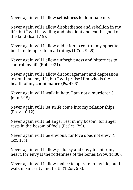Never again will I allow selfishness to dominate me.

Never again will I allow disobedience and rebellion in my life, but I will be willing and obedient and eat the good of the land (Isa. 1:19).

Never again will I allow addiction to control my appetite, but I am temperate in all things (1 Cor. 9:25).

Never again will I allow unforgiveness and bitterness to control my life (Eph. 4:31).

Never again will I allow discouragement and depression to dominate my life, but I will praise Him who is the health of my countenance (Ps. 42:5).

Never again will I walk in hate. I am not a murderer (1 John 3:15).

Never again will I let strife come into my relationships (Prov. 10:12).

Never again will I let anger rest in my bosom, for anger rests in the bosom of fools (Eccles. 7:9).

Never again will I be envious, for love does not envy (1 Cor. 13:4).

Never again will I allow jealousy and envy to enter my heart, for envy is the rottenness of the bones (Prov. 14:30).

Never again will I allow malice to operate in my life, but I walk in sincerity and truth (1 Cor. 5:8).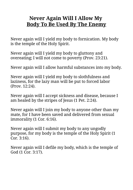### **Never Again Will I Allow My Body To Be Used By The Enemy**

Never again will I yield my body to fornication. My body is the temple of the Holy Spirit.

Never again will I yield my body to gluttony and overeating; I will not come to poverty (Prov. 23:21).

Never again will I allow harmful substances into my body.

Never again will I yield my body to slothfulness and laziness, for the lazy man will be put to forced labor (Prov. 12:24).

Never again will I accept sickness and disease, because I am healed by the stripes of Jesus (1 Pet. 2:24).

Never again will I join my body to anyone other than my mate, for I have been saved and delivered from sexual immorality (1 Cor. 6:16).

Never again will I submit my body to any ungodly purpose, for my body is the temple of the Holy Spirit (1 Cor. 3:16).

Never again will I defile my body, which is the temple of God (1 Cor. 3:17).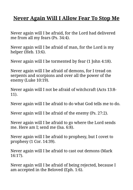## **Never Again Will I Allow Fear To Stop Me**

Never again will I be afraid, for the Lord had delivered me from all my fears (Ps. 34:4).

Never again will I be afraid of man, for the Lord is my helper (Heb. 13:6).

Never again will I be tormented by fear (1 John 4:18).

Never again will I be afraid of demons, for I tread on serpents and scorpions and over all the power of the enemy (Luke 10:19).

Never again will I not be afraid of witchcraft (Acts 13:8- 11).

Never again will I be afraid to do what God tells me to do.

Never again will I be afraid of the enemy (Ps. 27:2).

Never again will I be afraid to go where the Lord sends me. Here am I; send me (Isa. 6:8).

Never again will I be afraid to prophesy, but I covet to prophesy (1 Cor. 14:39).

Never again will I be afraid to cast out demons (Mark 16:17).

Never again will I be afraid of being rejected, because I am accepted in the Beloved (Eph. 1:6).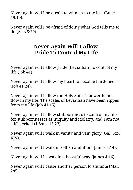Never again will I be afraid to witness to the lost (Luke 19:10).

Never again will I be afraid of doing what God tells me to do (Acts 5:29).

## **Never Again Will I Allow Pride To Control My Life**

Never again will I allow pride (Leviathan) to control my life (Job 41).

Never again will I allow my heart to become hardened (Job 41:24).

Never again will I allow the Holy Spirit's power to not flow in my life. The scales of Leviathan have been ripped from my life (Job 41:15).

Never again will I allow stubbornness to control my life, for stubbornness is as iniquity and idolatry, and I am not stiff-necked (1 Sam. 15:23).

Never again will I walk in vanity and vain glory (Gal. 5:26, KJV).

Never again will I walk in selfish ambition (James 3:14).

Never again will I speak in a boastful way (James 4:16).

Never again will I cause another person to stumble (Mal. 2:8).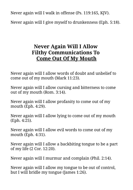Never again will I walk in offense (Ps. 119:165, KJV).

Never again will I give myself to drunkenness (Eph. 5:18).

## **Never Again Will I Allow Filthy Communications To Come Out Of My Mouth**

Never again will I allow words of doubt and unbelief to come out of my mouth (Mark 11:23).

Never again will I allow cursing and bitterness to come out of my mouth (Rom. 3:14).

Never again will I allow profanity to come out of my mouth (Eph. 4:29).

Never again will I allow lying to come out of my mouth (Eph. 4:25).

Never again will I allow evil words to come out of my mouth (Eph. 4:31).

Never again will I allow a backbiting tongue to be a part of my life (2 Cor. 12:20).

Never again will I murmur and complain (Phil. 2:14).

Never again will I allow my tongue to be out of control, but I will bridle my tongue (James 1:26).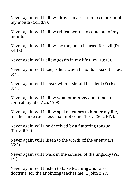Never again will I allow filthy conversation to come out of my mouth (Col. 3:8).

Never again will I allow critical words to come out of my mouth.

Never again will I allow my tongue to be used for evil (Ps. 34:13).

Never again will I allow gossip in my life (Lev. 19:16).

Never again will I keep silent when I should speak (Eccles. 3:7).

Never again will I speak when I should be silent (Eccles. 3:7).

Never again will I allow what others say about me to control my life (Acts 19:9).

Never again will I allow spoken curses to hinder my life, for the curse causeless shall not come (Prov. 26:2, KJV).

Never again will I be deceived by a flattering tongue (Prov. 6:24).

Never again will I listen to the words of the enemy (Ps. 55:3).

Never again will I walk in the counsel of the ungodly (Ps. 1:1).

Never again will I listen to false teaching and false doctrine, for the anointing teaches me (1 John 2:27).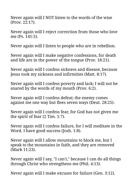Never again will I NOT listen to the words of the wise (Prov. 22:17).

Never again will I reject correction from those who love me (Ps. 141:5).

Never again will I listen to people who are in rebellion.

Never again will I make negative confessions, for death and life are in the power of the tongue (Prov. 18:21).

Never again will I confess sickness and disease, because Jesus took my sickness and infirmities (Matt. 8:17).

Never again will I confess poverty and lack; I will not be snared by the words of my mouth (Prov. 6:2).

Never again will I confess defeat; the enemy comes against me one way but flees seven ways (Deut. 28:25).

Never again will I confess fear, for God has not given me the spirit of fear (2 Tim. 1:7).

Never again will I confess failure, for I will meditate in the Word. I have good success (Josh. 1:8).

Never again will I allow mountains to block me, but I speak to the mountains in faith, and they are removed (Mark 11:23).

Never again will I say, "I can't," because I can do all things through Christ who strengthens me (Phil. 4:13).

Never again will I make excuses for failure (Gen. 3:12).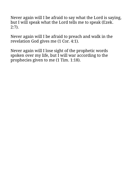Never again will I be afraid to say what the Lord is saying, but I will speak what the Lord tells me to speak (Ezek. 2:7).

Never again will I be afraid to preach and walk in the revelation God gives me (1 Cor. 4:1).

Never again will I lose sight of the prophetic words spoken over my life, but I will war according to the prophecies given to me (1 Tim. 1:18).